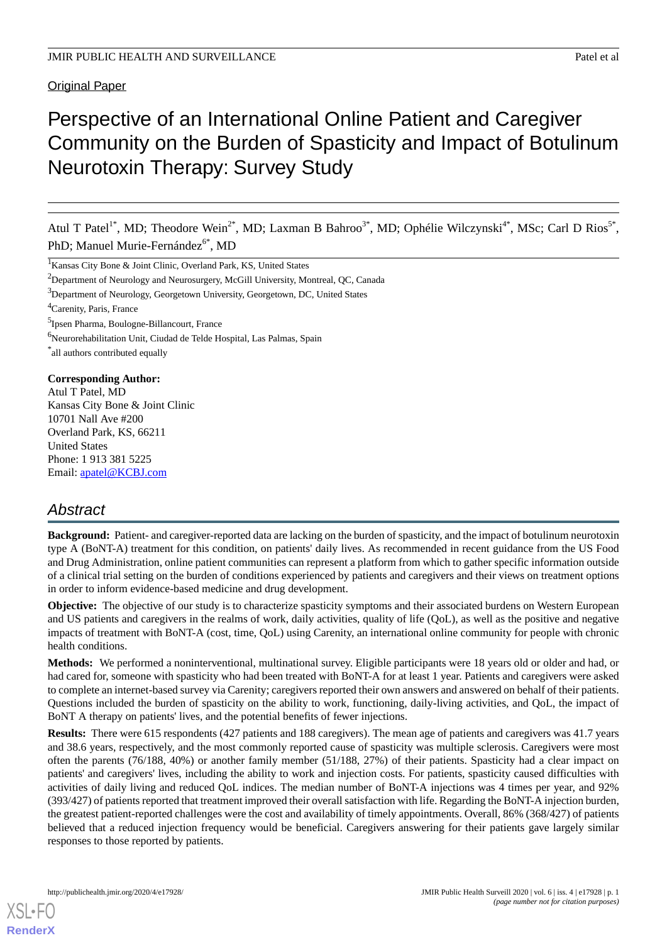## Original Paper

# Perspective of an International Online Patient and Caregiver Community on the Burden of Spasticity and Impact of Botulinum Neurotoxin Therapy: Survey Study

Atul T Patel<sup>1\*</sup>, MD; Theodore Wein<sup>2\*</sup>, MD; Laxman B Bahroo<sup>3\*</sup>, MD; Ophélie Wilczynski<sup>4\*</sup>, MSc; Carl D Rios<sup>5\*</sup>, PhD; Manuel Murie-Fernández<sup>6\*</sup>, MD

<sup>1</sup> Kansas City Bone & Joint Clinic, Overland Park, KS, United States <sup>2</sup>Department of Neurology and Neurosurgery, McGill University, Montreal, QC, Canada <sup>3</sup>Department of Neurology, Georgetown University, Georgetown, DC, United States <sup>4</sup>Carenity, Paris, France

<sup>5</sup>Ipsen Pharma, Boulogne-Billancourt, France

 $6$ Neurorehabilitation Unit, Ciudad de Telde Hospital, Las Palmas, Spain

\* all authors contributed equally

#### **Corresponding Author:**

Atul T Patel, MD Kansas City Bone & Joint Clinic 10701 Nall Ave #200 Overland Park, KS, 66211 United States Phone: 1 913 381 5225 Email: [apatel@KCBJ.com](mailto:apatel@KCBJ.com)

## *Abstract*

**Background:** Patient- and caregiver-reported data are lacking on the burden of spasticity, and the impact of botulinum neurotoxin type A (BoNT-A) treatment for this condition, on patients' daily lives. As recommended in recent guidance from the US Food and Drug Administration, online patient communities can represent a platform from which to gather specific information outside of a clinical trial setting on the burden of conditions experienced by patients and caregivers and their views on treatment options in order to inform evidence-based medicine and drug development.

**Objective:** The objective of our study is to characterize spasticity symptoms and their associated burdens on Western European and US patients and caregivers in the realms of work, daily activities, quality of life (QoL), as well as the positive and negative impacts of treatment with BoNT-A (cost, time, QoL) using Carenity, an international online community for people with chronic health conditions.

**Methods:** We performed a noninterventional, multinational survey. Eligible participants were 18 years old or older and had, or had cared for, someone with spasticity who had been treated with BoNT-A for at least 1 year. Patients and caregivers were asked to complete an internet-based survey via Carenity; caregivers reported their own answers and answered on behalf of their patients. Questions included the burden of spasticity on the ability to work, functioning, daily-living activities, and QoL, the impact of BoNT A therapy on patients' lives, and the potential benefits of fewer injections.

**Results:** There were 615 respondents (427 patients and 188 caregivers). The mean age of patients and caregivers was 41.7 years and 38.6 years, respectively, and the most commonly reported cause of spasticity was multiple sclerosis. Caregivers were most often the parents (76/188, 40%) or another family member (51/188, 27%) of their patients. Spasticity had a clear impact on patients' and caregivers' lives, including the ability to work and injection costs. For patients, spasticity caused difficulties with activities of daily living and reduced QoL indices. The median number of BoNT-A injections was 4 times per year, and 92% (393/427) of patients reported that treatment improved their overall satisfaction with life. Regarding the BoNT-A injection burden, the greatest patient-reported challenges were the cost and availability of timely appointments. Overall, 86% (368/427) of patients believed that a reduced injection frequency would be beneficial. Caregivers answering for their patients gave largely similar responses to those reported by patients.

[XSL](http://www.w3.org/Style/XSL)•FO **[RenderX](http://www.renderx.com/)**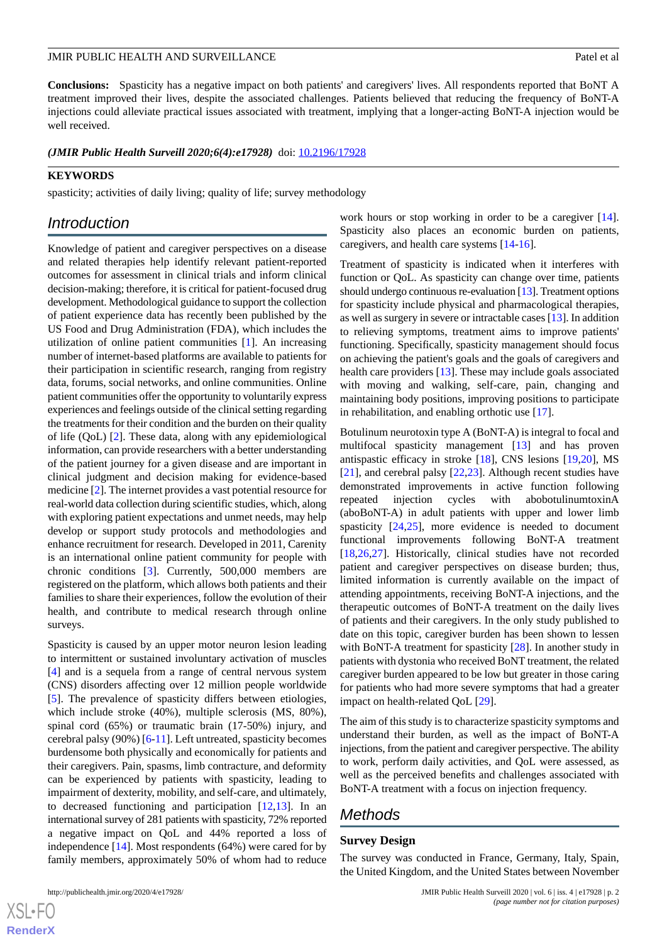**Conclusions:** Spasticity has a negative impact on both patients' and caregivers' lives. All respondents reported that BoNT A treatment improved their lives, despite the associated challenges. Patients believed that reducing the frequency of BoNT-A injections could alleviate practical issues associated with treatment, implying that a longer-acting BoNT-A injection would be well received.

*(JMIR Public Health Surveill 2020;6(4):e17928)* doi: **10.2196/17928** 

#### **KEYWORDS**

spasticity; activities of daily living; quality of life; survey methodology

## *Introduction*

Knowledge of patient and caregiver perspectives on a disease and related therapies help identify relevant patient-reported outcomes for assessment in clinical trials and inform clinical decision-making; therefore, it is critical for patient-focused drug development. Methodological guidance to support the collection of patient experience data has recently been published by the US Food and Drug Administration (FDA), which includes the utilization of online patient communities [\[1](#page-19-0)]. An increasing number of internet-based platforms are available to patients for their participation in scientific research, ranging from registry data, forums, social networks, and online communities. Online patient communities offer the opportunity to voluntarily express experiences and feelings outside of the clinical setting regarding the treatments for their condition and the burden on their quality of life (QoL) [\[2](#page-19-1)]. These data, along with any epidemiological information, can provide researchers with a better understanding of the patient journey for a given disease and are important in clinical judgment and decision making for evidence-based medicine [\[2](#page-19-1)]. The internet provides a vast potential resource for real-world data collection during scientific studies, which, along with exploring patient expectations and unmet needs, may help develop or support study protocols and methodologies and enhance recruitment for research. Developed in 2011, Carenity is an international online patient community for people with chronic conditions [\[3](#page-19-2)]. Currently, 500,000 members are registered on the platform, which allows both patients and their families to share their experiences, follow the evolution of their health, and contribute to medical research through online surveys.

Spasticity is caused by an upper motor neuron lesion leading to intermittent or sustained involuntary activation of muscles [[4\]](#page-19-3) and is a sequela from a range of central nervous system (CNS) disorders affecting over 12 million people worldwide [[5\]](#page-19-4). The prevalence of spasticity differs between etiologies, which include stroke (40%), multiple sclerosis (MS, 80%), spinal cord (65%) or traumatic brain (17-50%) injury, and cerebral palsy (90%) [\[6](#page-19-5)-[11\]](#page-20-0). Left untreated, spasticity becomes burdensome both physically and economically for patients and their caregivers. Pain, spasms, limb contracture, and deformity can be experienced by patients with spasticity, leading to impairment of dexterity, mobility, and self-care, and ultimately, to decreased functioning and participation [[12,](#page-20-1)[13](#page-20-2)]. In an international survey of 281 patients with spasticity, 72% reported a negative impact on QoL and 44% reported a loss of independence [\[14](#page-20-3)]. Most respondents (64%) were cared for by family members, approximately 50% of whom had to reduce

[XSL](http://www.w3.org/Style/XSL)•FO **[RenderX](http://www.renderx.com/)** work hours or stop working in order to be a caregiver [[14\]](#page-20-3). Spasticity also places an economic burden on patients, caregivers, and health care systems [[14-](#page-20-3)[16](#page-20-4)].

Treatment of spasticity is indicated when it interferes with function or QoL. As spasticity can change over time, patients should undergo continuous re-evaluation [\[13](#page-20-2)]. Treatment options for spasticity include physical and pharmacological therapies, as well as surgery in severe or intractable cases [\[13](#page-20-2)]. In addition to relieving symptoms, treatment aims to improve patients' functioning. Specifically, spasticity management should focus on achieving the patient's goals and the goals of caregivers and health care providers [[13\]](#page-20-2). These may include goals associated with moving and walking, self-care, pain, changing and maintaining body positions, improving positions to participate in rehabilitation, and enabling orthotic use [[17\]](#page-20-5).

Botulinum neurotoxin type A (BoNT-A) is integral to focal and multifocal spasticity management [[13\]](#page-20-2) and has proven antispastic efficacy in stroke [\[18](#page-20-6)], CNS lesions [\[19](#page-20-7),[20\]](#page-20-8), MS [[21\]](#page-20-9), and cerebral palsy [[22](#page-20-10)[,23](#page-20-11)]. Although recent studies have demonstrated improvements in active function following repeated injection cycles with abobotulinumtoxinA (aboBoNT-A) in adult patients with upper and lower limb spasticity [[24,](#page-20-12)[25](#page-20-13)], more evidence is needed to document functional improvements following BoNT-A treatment [[18,](#page-20-6)[26,](#page-20-14)[27\]](#page-20-15). Historically, clinical studies have not recorded patient and caregiver perspectives on disease burden; thus, limited information is currently available on the impact of attending appointments, receiving BoNT-A injections, and the therapeutic outcomes of BoNT-A treatment on the daily lives of patients and their caregivers. In the only study published to date on this topic, caregiver burden has been shown to lessen with BoNT-A treatment for spasticity [\[28](#page-20-16)]. In another study in patients with dystonia who received BoNT treatment, the related caregiver burden appeared to be low but greater in those caring for patients who had more severe symptoms that had a greater impact on health-related QoL [[29\]](#page-21-0).

The aim of this study is to characterize spasticity symptoms and understand their burden, as well as the impact of BoNT-A injections, from the patient and caregiver perspective. The ability to work, perform daily activities, and QoL were assessed, as well as the perceived benefits and challenges associated with BoNT-A treatment with a focus on injection frequency.

## *Methods*

#### **Survey Design**

The survey was conducted in France, Germany, Italy, Spain, the United Kingdom, and the United States between November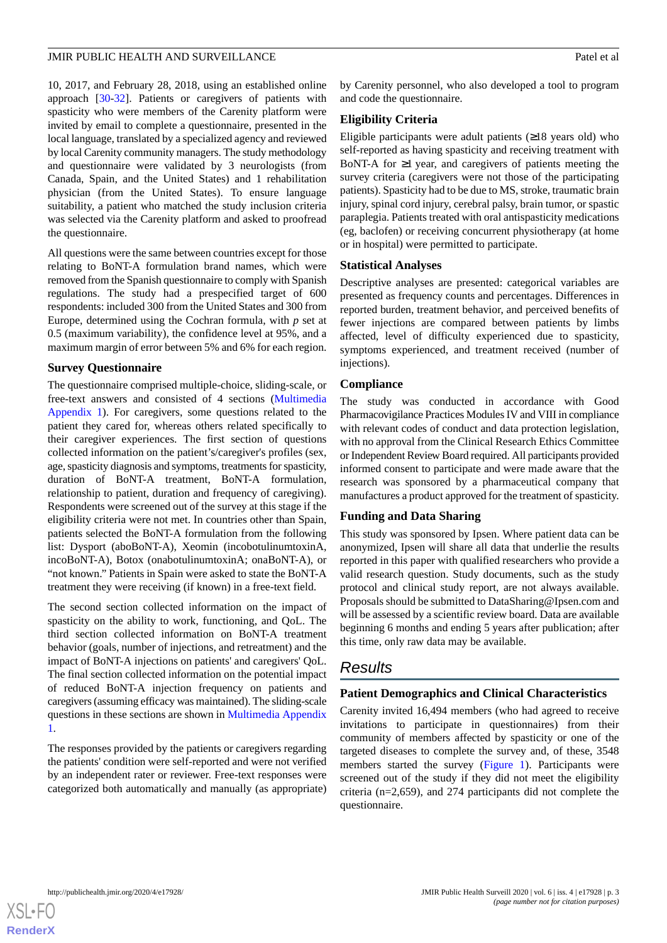10, 2017, and February 28, 2018, using an established online approach [[30-](#page-21-1)[32\]](#page-21-2). Patients or caregivers of patients with spasticity who were members of the Carenity platform were invited by email to complete a questionnaire, presented in the local language, translated by a specialized agency and reviewed by local Carenity community managers. The study methodology and questionnaire were validated by 3 neurologists (from Canada, Spain, and the United States) and 1 rehabilitation physician (from the United States). To ensure language suitability, a patient who matched the study inclusion criteria was selected via the Carenity platform and asked to proofread the questionnaire.

All questions were the same between countries except for those relating to BoNT-A formulation brand names, which were removed from the Spanish questionnaire to comply with Spanish regulations. The study had a prespecified target of 600 respondents: included 300 from the United States and 300 from Europe, determined using the Cochran formula, with *p* set at 0.5 (maximum variability), the confidence level at 95%, and a maximum margin of error between 5% and 6% for each region.

## **Survey Questionnaire**

The questionnaire comprised multiple-choice, sliding-scale, or free-text answers and consisted of 4 sections ([Multimedia](#page-19-6) [Appendix 1\)](#page-19-6). For caregivers, some questions related to the patient they cared for, whereas others related specifically to their caregiver experiences. The first section of questions collected information on the patient's/caregiver's profiles (sex, age, spasticity diagnosis and symptoms, treatments for spasticity, duration of BoNT-A treatment, BoNT-A formulation, relationship to patient, duration and frequency of caregiving). Respondents were screened out of the survey at this stage if the eligibility criteria were not met. In countries other than Spain, patients selected the BoNT-A formulation from the following list: Dysport (aboBoNT-A), Xeomin (incobotulinumtoxinA, incoBoNT-A), Botox (onabotulinumtoxinA; onaBoNT-A), or "not known." Patients in Spain were asked to state the BoNT-A treatment they were receiving (if known) in a free-text field.

The second section collected information on the impact of spasticity on the ability to work, functioning, and QoL. The third section collected information on BoNT-A treatment behavior (goals, number of injections, and retreatment) and the impact of BoNT-A injections on patients' and caregivers' QoL. The final section collected information on the potential impact of reduced BoNT-A injection frequency on patients and caregivers (assuming efficacy was maintained). The sliding-scale questions in these sections are shown in [Multimedia Appendix](#page-19-6) [1.](#page-19-6)

The responses provided by the patients or caregivers regarding the patients' condition were self-reported and were not verified by an independent rater or reviewer. Free-text responses were categorized both automatically and manually (as appropriate) by Carenity personnel, who also developed a tool to program and code the questionnaire.

## **Eligibility Criteria**

Eligible participants were adult patients  $(≥18$  years old) who self-reported as having spasticity and receiving treatment with BoNT-A for  $\geq 1$  year, and caregivers of patients meeting the survey criteria (caregivers were not those of the participating patients). Spasticity had to be due to MS, stroke, traumatic brain injury, spinal cord injury, cerebral palsy, brain tumor, or spastic paraplegia. Patients treated with oral antispasticity medications (eg, baclofen) or receiving concurrent physiotherapy (at home or in hospital) were permitted to participate.

## **Statistical Analyses**

Descriptive analyses are presented: categorical variables are presented as frequency counts and percentages. Differences in reported burden, treatment behavior, and perceived benefits of fewer injections are compared between patients by limbs affected, level of difficulty experienced due to spasticity, symptoms experienced, and treatment received (number of injections).

## **Compliance**

The study was conducted in accordance with Good Pharmacovigilance Practices Modules IV and VIII in compliance with relevant codes of conduct and data protection legislation, with no approval from the Clinical Research Ethics Committee or Independent Review Board required. All participants provided informed consent to participate and were made aware that the research was sponsored by a pharmaceutical company that manufactures a product approved for the treatment of spasticity.

## **Funding and Data Sharing**

This study was sponsored by Ipsen. Where patient data can be anonymized, Ipsen will share all data that underlie the results reported in this paper with qualified researchers who provide a valid research question. Study documents, such as the study protocol and clinical study report, are not always available. Proposals should be submitted to DataSharing@Ipsen.com and will be assessed by a scientific review board. Data are available beginning 6 months and ending 5 years after publication; after this time, only raw data may be available.

## *Results*

## **Patient Demographics and Clinical Characteristics**

Carenity invited 16,494 members (who had agreed to receive invitations to participate in questionnaires) from their community of members affected by spasticity or one of the targeted diseases to complete the survey and, of these, 3548 members started the survey ([Figure 1\)](#page-3-0). Participants were screened out of the study if they did not meet the eligibility criteria (n=2,659), and 274 participants did not complete the questionnaire.

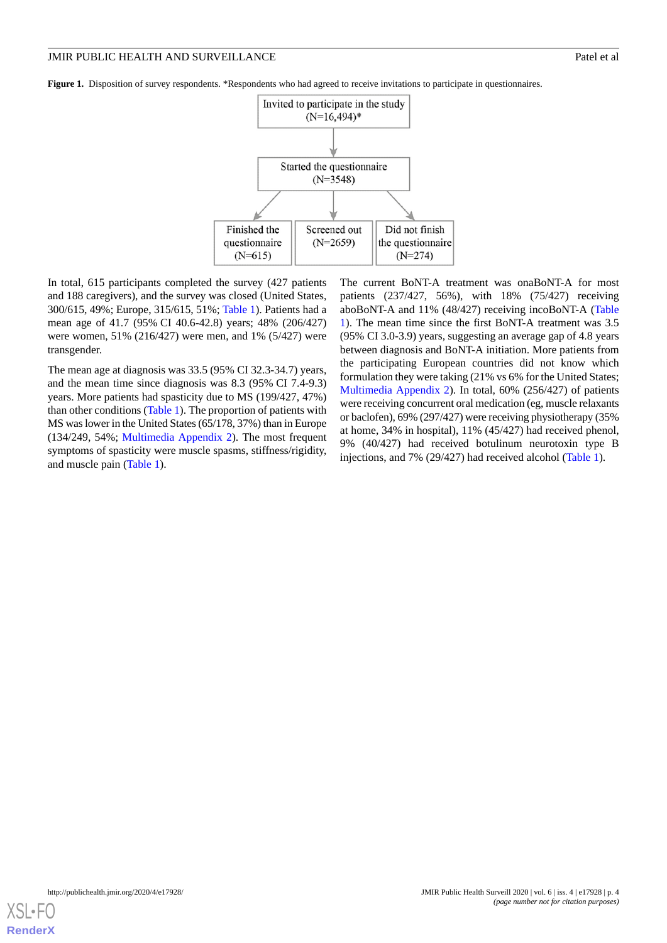<span id="page-3-0"></span>**Figure 1.** Disposition of survey respondents. \*Respondents who had agreed to receive invitations to participate in questionnaires.



In total, 615 participants completed the survey (427 patients and 188 caregivers), and the survey was closed (United States, 300/615, 49%; Europe, 315/615, 51%; [Table 1](#page-4-0)). Patients had a mean age of 41.7 (95% CI 40.6-42.8) years; 48% (206/427) were women, 51% (216/427) were men, and 1% (5/427) were transgender.

The mean age at diagnosis was 33.5 (95% CI 32.3-34.7) years, and the mean time since diagnosis was 8.3 (95% CI 7.4-9.3) years. More patients had spasticity due to MS (199/427, 47%) than other conditions ([Table 1](#page-4-0)). The proportion of patients with MS was lower in the United States (65/178, 37%) than in Europe (134/249, 54%; [Multimedia Appendix 2](#page-19-7)). The most frequent symptoms of spasticity were muscle spasms, stiffness/rigidity, and muscle pain [\(Table 1\)](#page-4-0).

The current BoNT-A treatment was onaBoNT-A for most patients (237/427, 56%), with 18% (75/427) receiving aboBoNT-A and 11% (48/427) receiving incoBoNT-A ([Table](#page-4-0) [1\)](#page-4-0). The mean time since the first BoNT-A treatment was 3.5 (95% CI 3.0-3.9) years, suggesting an average gap of 4.8 years between diagnosis and BoNT-A initiation. More patients from the participating European countries did not know which formulation they were taking (21% vs 6% for the United States; [Multimedia Appendix 2](#page-19-7)). In total, 60% (256/427) of patients were receiving concurrent oral medication (eg, muscle relaxants or baclofen), 69% (297/427) were receiving physiotherapy (35% at home, 34% in hospital), 11% (45/427) had received phenol, 9% (40/427) had received botulinum neurotoxin type B injections, and 7% (29/427) had received alcohol [\(Table 1\)](#page-4-0).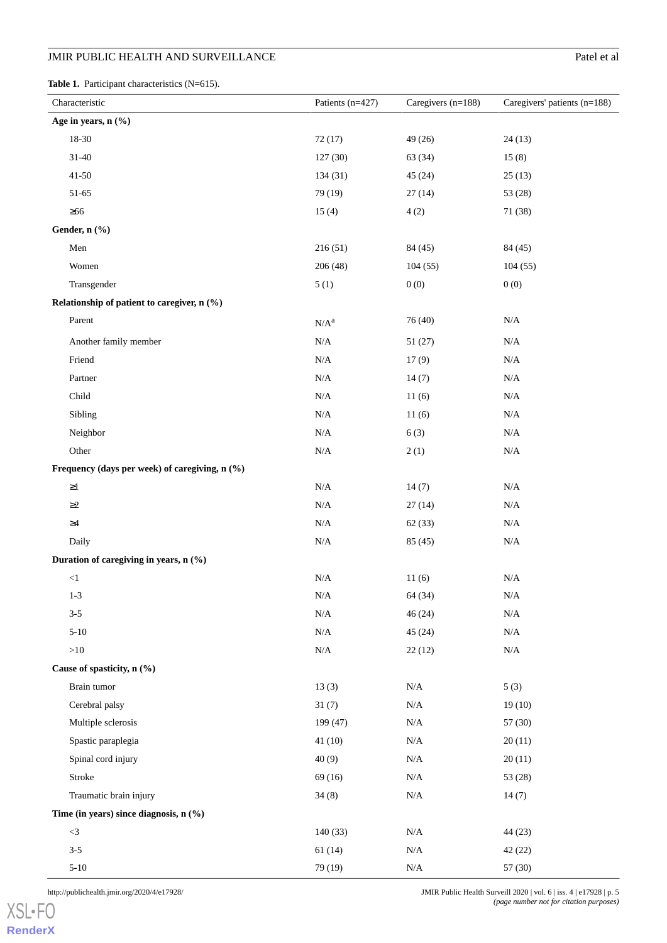<span id="page-4-0"></span>Table 1. Participant characteristics (N=615).

| Characteristic                                 | Patients $(n=427)$ | Caregivers $(n=188)$ | Caregivers' patients $(n=188)$ |
|------------------------------------------------|--------------------|----------------------|--------------------------------|
| Age in years, n (%)                            |                    |                      |                                |
| 18-30                                          | 72(17)             | 49 (26)              | 24(13)                         |
| $31 - 40$                                      | 127(30)            | 63 (34)              | 15(8)                          |
| $41 - 50$                                      | 134 (31)           | 45 (24)              | 25(13)                         |
| 51-65                                          | 79 (19)            | 27(14)               | 53 (28)                        |
| $\geq 66$                                      | 15(4)              | 4(2)                 | 71 (38)                        |
| Gender, n (%)                                  |                    |                      |                                |
| Men                                            | 216(51)            | 84 (45)              | 84 (45)                        |
| Women                                          | 206(48)            | 104(55)              | 104(55)                        |
| Transgender                                    | 5(1)               | 0(0)                 | 0(0)                           |
| Relationship of patient to caregiver, n (%)    |                    |                      |                                |
| Parent                                         | $N/A^a$            | 76 (40)              | $\rm N/A$                      |
| Another family member                          | $\rm N/A$          | 51 (27)              | $\rm N/A$                      |
| Friend                                         | N/A                | 17(9)                | $\rm N/A$                      |
| Partner                                        | $\rm N/A$          | 14(7)                | $\rm N/A$                      |
| Child                                          | $\rm N/A$          | 11(6)                | $\rm N/A$                      |
| Sibling                                        | $\rm N/A$          | 11(6)                | $\rm N/A$                      |
| Neighbor                                       | $\rm N/A$          | 6(3)                 | $\rm N/A$                      |
| Other                                          | $\rm N/A$          | 2(1)                 | $\rm N/A$                      |
| Frequency (days per week) of caregiving, n (%) |                    |                      |                                |
| ${\geq}1$                                      | $\rm N/A$          | 14(7)                | $\rm N/A$                      |
| $\geq$ 2                                       | $\rm N/A$          | 27(14)               | $\rm N/A$                      |
| $\geq 4$                                       | $\rm N/A$          | 62(33)               | $\rm N/A$                      |
| Daily                                          | $\rm N/A$          | 85 (45)              | $\rm N/A$                      |
| Duration of caregiving in years, n (%)         |                    |                      |                                |
| $<\!1$                                         | $\rm N/A$          | 11(6)                | $\rm N/A$                      |
| $1 - 3$                                        | $\rm N/A$          | 64 (34)              | $\rm N/A$                      |
| $3 - 5$                                        | $\rm N/A$          | 46(24)               | $\rm N/A$                      |
| $5 - 10$                                       | $\rm N/A$          | 45(24)               | $\rm N/A$                      |
| ${>}10$                                        | $\rm N/A$          | 22(12)               | $\rm N/A$                      |
| Cause of spasticity, n (%)                     |                    |                      |                                |
| Brain tumor                                    | 13(3)              | $\rm N/A$            | 5(3)                           |
| Cerebral palsy                                 | 31(7)              | $\rm N/A$            | 19(10)                         |
| Multiple sclerosis                             | 199 (47)           | $\rm N/A$            | 57 (30)                        |
| Spastic paraplegia                             | 41(10)             | $\rm N/A$            | 20(11)                         |
| Spinal cord injury                             | 40(9)              | $\rm N/A$            | 20(11)                         |
| Stroke                                         | 69 (16)            | $\rm N/A$            | 53 (28)                        |
| Traumatic brain injury                         | 34(8)              | $\rm N/A$            | 14(7)                          |
| Time (in years) since diagnosis, n (%)         |                    |                      |                                |
| $<3\,$                                         | 140 (33)           | $\rm N/A$            | 44 (23)                        |
| $3 - 5$                                        | 61(14)             | $\rm N/A$            | 42 (22)                        |
| $5 - 10$                                       | 79 (19)            | $\rm N/A$            | 57(30)                         |

[XSL](http://www.w3.org/Style/XSL)•FO **[RenderX](http://www.renderx.com/)**

http://publichealth.jmir.org/2020/4/e17928/ JMIR Public Health Surveill 2020 | vol. 6 | iss. 4 | e17928 | p. 5 *(page number not for citation purposes)*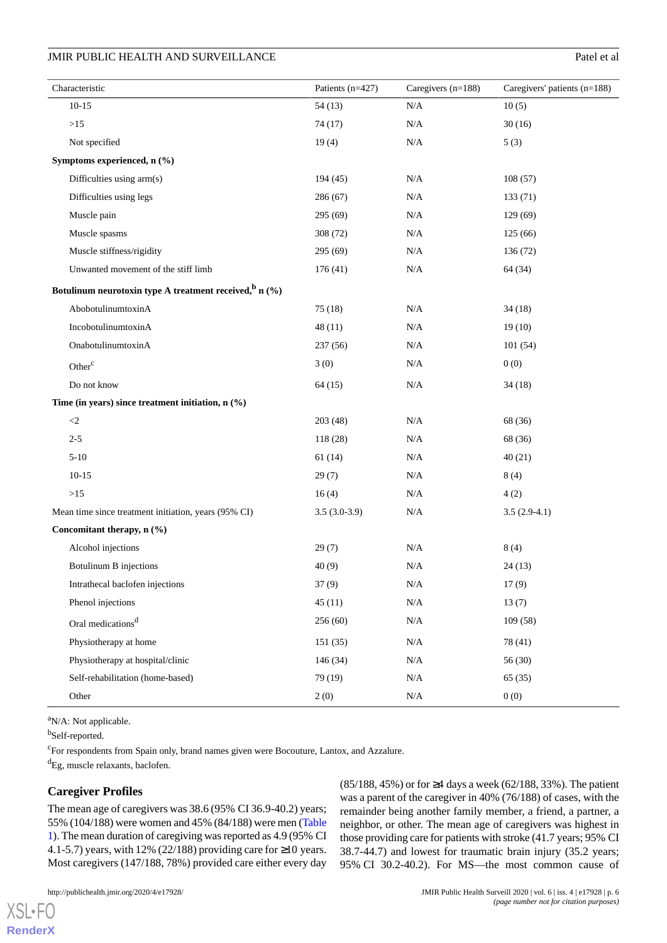| Characteristic                                             | Patients (n=427) | Caregivers (n=188) | Caregivers' patients $(n=188)$ |
|------------------------------------------------------------|------------------|--------------------|--------------------------------|
| $10-15$                                                    | 54(13)           | N/A                | 10(5)                          |
| $>15$                                                      | 74 (17)          | $\rm N/A$          | 30(16)                         |
| Not specified                                              | 19(4)            | N/A                | 5(3)                           |
| Symptoms experienced, n (%)                                |                  |                    |                                |
| Difficulties using arm(s)                                  | 194 (45)         | N/A                | 108(57)                        |
| Difficulties using legs                                    | 286 (67)         | $\rm N/A$          | 133(71)                        |
| Muscle pain                                                | 295 (69)         | $\rm N/A$          | 129(69)                        |
| Muscle spasms                                              | 308 (72)         | N/A                | 125(66)                        |
| Muscle stiffness/rigidity                                  | 295 (69)         | $\rm N/A$          | 136 (72)                       |
| Unwanted movement of the stiff limb                        | 176(41)          | $\rm N/A$          | 64 (34)                        |
| Botulinum neurotoxin type A treatment received, $\sin(96)$ |                  |                    |                                |
| AbobotulinumtoxinA                                         | 75(18)           | $\rm N/A$          | 34(18)                         |
| IncobotulinumtoxinA                                        | 48(11)           | N/A                | 19(10)                         |
| OnabotulinumtoxinA                                         | 237(56)          | $\rm N/A$          | 101(54)                        |
| Other <sup>c</sup>                                         | 3(0)             | N/A                | 0(0)                           |
| Do not know                                                | 64(15)           | $\rm N/A$          | 34(18)                         |
| Time (in years) since treatment initiation, $n$ (%)        |                  |                    |                                |
| $\leq$ 2                                                   | 203(48)          | N/A                | 68 (36)                        |
| $2 - 5$                                                    | 118 (28)         | $\rm N/A$          | 68 (36)                        |
| $5 - 10$                                                   | 61(14)           | N/A                | 40(21)                         |
| $10-15$                                                    | 29(7)            | N/A                | 8(4)                           |
| $>15$                                                      | 16(4)            | N/A                | 4(2)                           |
| Mean time since treatment initiation, years (95% CI)       | $3.5(3.0-3.9)$   | N/A                | $3.5(2.9-4.1)$                 |
| Concomitant therapy, n (%)                                 |                  |                    |                                |
| Alcohol injections                                         | 29(7)            | $\rm N/A$          | 8(4)                           |
| Botulinum B injections                                     | 40(9)            | $\rm N/A$          | 24(13)                         |
| Intrathecal baclofen injections                            | 37(9)            | $\rm N/A$          | 17(9)                          |
| Phenol injections                                          | 45(11)           | $\rm N/A$          | 13(7)                          |
| Oral medications <sup>d</sup>                              | 256(60)          | $\rm N/A$          | 109(58)                        |
| Physiotherapy at home                                      | 151(35)          | $\rm N/A$          | 78 (41)                        |
| Physiotherapy at hospital/clinic                           | 146 (34)         | $\rm N/A$          | 56 (30)                        |
| Self-rehabilitation (home-based)                           | 79 (19)          | $\rm N/A$          | 65(35)                         |
| Other                                                      | 2(0)             | N/A                | 0(0)                           |

<sup>a</sup>N/A: Not applicable.

bSelf-reported.

[XSL](http://www.w3.org/Style/XSL)•FO **[RenderX](http://www.renderx.com/)**

<sup>c</sup>For respondents from Spain only, brand names given were Bocouture, Lantox, and Azzalure.

<sup>d</sup>Eg, muscle relaxants, baclofen.

## **Caregiver Profiles**

The mean age of caregivers was 38.6 (95% CI 36.9-40.2) years; 55% (104/188) were women and 45% (84/188) were men [\(Table](#page-4-0) [1](#page-4-0)). The mean duration of caregiving was reported as 4.9 (95% CI 4.1-5.7) years, with 12% (22/188) providing care for ≥10 years. Most caregivers (147/188, 78%) provided care either every day

(85/188, 45%) or for ≥4 days a week (62/188, 33%). The patient was a parent of the caregiver in 40% (76/188) of cases, with the remainder being another family member, a friend, a partner, a neighbor, or other. The mean age of caregivers was highest in those providing care for patients with stroke (41.7 years; 95% CI 38.7-44.7) and lowest for traumatic brain injury (35.2 years; 95% CI 30.2-40.2). For MS—the most common cause of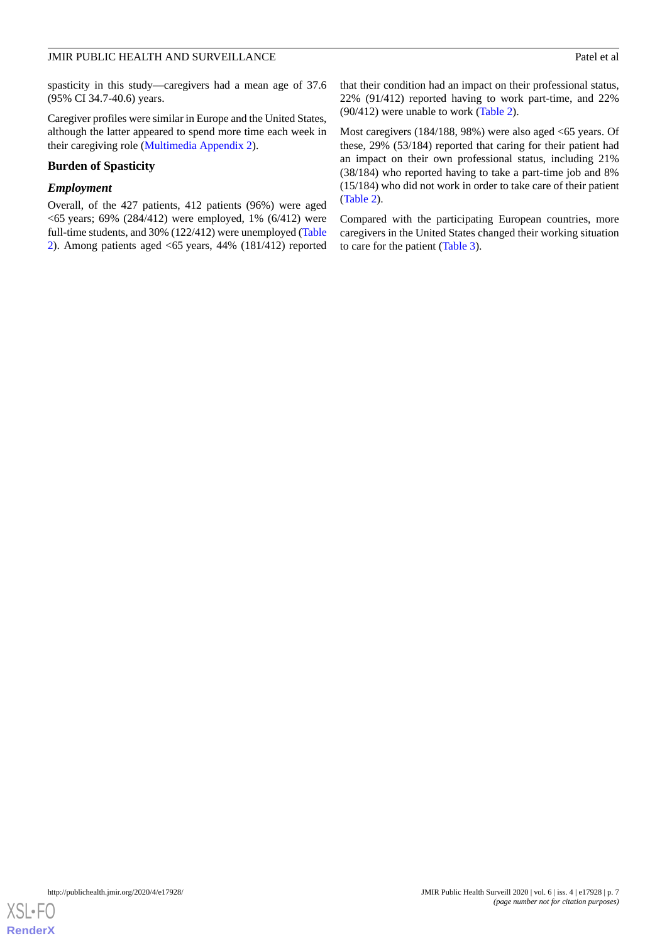spasticity in this study—caregivers had a mean age of 37.6 (95% CI 34.7-40.6) years.

Caregiver profiles were similar in Europe and the United States, although the latter appeared to spend more time each week in their caregiving role [\(Multimedia Appendix 2](#page-19-7)).

### **Burden of Spasticity**

#### *Employment*

Overall, of the 427 patients, 412 patients (96%) were aged  $<$  65 years; 69% (284/412) were employed, 1% (6/412) were full-time students, and 30% (122/412) were unemployed ([Table](#page-7-0) [2\)](#page-7-0). Among patients aged <65 years, 44% (181/412) reported

that their condition had an impact on their professional status, 22% (91/412) reported having to work part-time, and 22% (90/412) were unable to work [\(Table 2\)](#page-7-0).

Most caregivers (184/188, 98%) were also aged <65 years. Of these, 29% (53/184) reported that caring for their patient had an impact on their own professional status, including 21% (38/184) who reported having to take a part-time job and 8% (15/184) who did not work in order to take care of their patient ([Table 2](#page-7-0)).

Compared with the participating European countries, more caregivers in the United States changed their working situation to care for the patient ([Table 3](#page-9-0)).

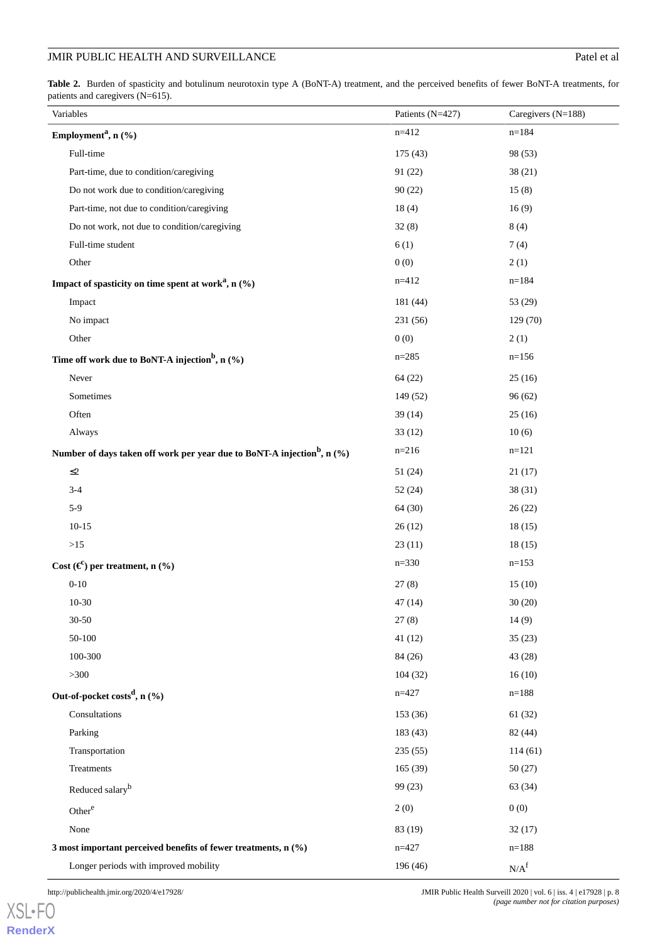<span id="page-7-0"></span>Table 2. Burden of spasticity and botulinum neurotoxin type A (BoNT-A) treatment, and the perceived benefits of fewer BoNT-A treatments, for patients and caregivers (N=615).

| Variables                                                                              | Patients (N=427) | Caregivers (N=188) |
|----------------------------------------------------------------------------------------|------------------|--------------------|
| Employment <sup>a</sup> , n (%)                                                        | $n = 412$        | $n = 184$          |
| Full-time                                                                              | 175 (43)         | 98 (53)            |
| Part-time, due to condition/caregiving                                                 | 91(22)           | 38(21)             |
| Do not work due to condition/caregiving                                                | 90(22)           | 15(8)              |
| Part-time, not due to condition/caregiving                                             | 18(4)            | 16(9)              |
| Do not work, not due to condition/caregiving                                           | 32(8)            | 8(4)               |
| Full-time student                                                                      | 6(1)             | 7(4)               |
| Other                                                                                  | 0(0)             | 2(1)               |
| Impact of spasticity on time spent at work <sup>a</sup> , n $(\%)$                     | $n=412$          | $n=184$            |
| Impact                                                                                 | 181 (44)         | 53 (29)            |
| No impact                                                                              | 231 (56)         | 129(70)            |
| Other                                                                                  | 0(0)             | 2(1)               |
| Time off work due to BoNT-A injection <sup>b</sup> , n (%)                             | $n = 285$        | $n=156$            |
| Never                                                                                  | 64(22)           | 25(16)             |
| Sometimes                                                                              | 149 (52)         | 96(62)             |
| Often                                                                                  | 39(14)           | 25(16)             |
| Always                                                                                 | 33(12)           | 10(6)              |
| Number of days taken off work per year due to BoNT-A injection <sup>b</sup> , n $(\%)$ | $n=216$          | $n=121$            |
| $\leq$ 2                                                                               | 51(24)           | 21(17)             |
| $3-4$                                                                                  | 52(24)           | 38(31)             |
| $5-9$                                                                                  | 64(30)           | 26(22)             |
| $10-15$                                                                                | 26(12)           | 18(15)             |
| $>15$                                                                                  | 23(11)           | 18(15)             |
| Cost $(\mathbf{\epsilon}^c)$ per treatment, n $(\%)$                                   | $n=330$          | $n=153$            |
| $0 - 10$                                                                               | 27(8)            | 15(10)             |
| $10-30$                                                                                | 47(14)           | 30(20)             |
| $30 - 50$                                                                              | 27(8)            | 14(9)              |
| 50-100                                                                                 | 41(12)           | 35(23)             |
| 100-300                                                                                | 84 (26)          | 43 (28)            |
| >300                                                                                   | 104(32)          | 16(10)             |
| Out-of-pocket costs <sup>d</sup> , n (%)                                               | $n=427$          | $n=188$            |
| Consultations                                                                          | 153 (36)         | 61(32)             |
| Parking                                                                                | 183 (43)         | 82 (44)            |
| Transportation                                                                         | 235(55)          | 114(61)            |
| Treatments                                                                             | 165(39)          | 50(27)             |
| Reduced salary <sup>b</sup>                                                            | 99(23)           | 63 (34)            |
| Other <sup>e</sup>                                                                     | 2(0)             | 0(0)               |
| None                                                                                   | 83 (19)          | 32(17)             |
| 3 most important perceived benefits of fewer treatments, n (%)                         | $n = 427$        | $n=188$            |
| Longer periods with improved mobility                                                  | 196 (46)         | N/A <sup>f</sup>   |

[XSL](http://www.w3.org/Style/XSL)•FO **[RenderX](http://www.renderx.com/)**

http://publichealth.jmir.org/2020/4/e17928/ JMIR Public Health Surveill 2020 | vol. 6 | iss. 4 | e17928 | p. 8 *(page number not for citation purposes)*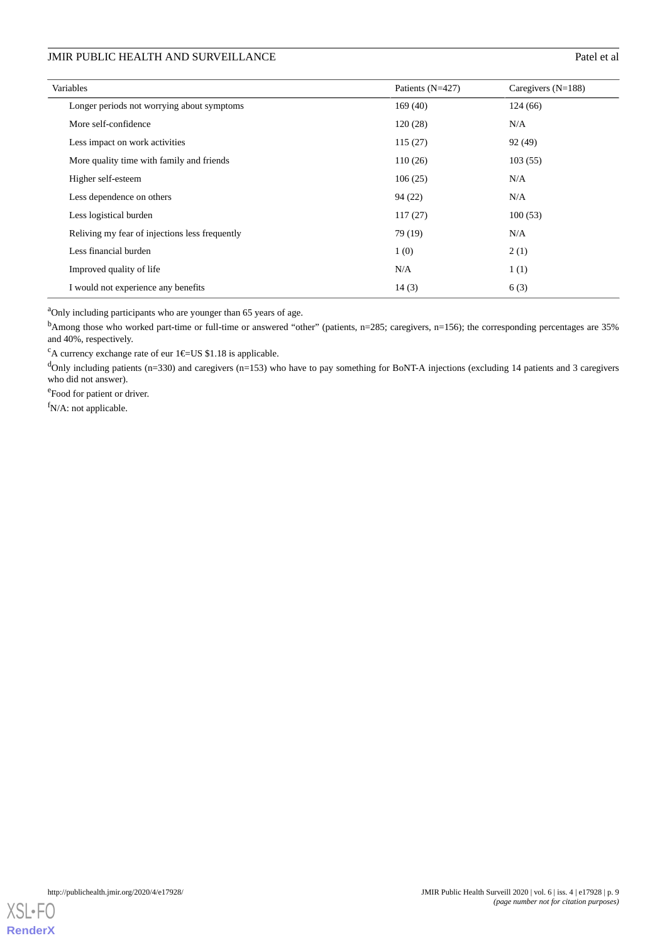| Variables                                      | Patients (N=427) | Caregivers $(N=188)$ |
|------------------------------------------------|------------------|----------------------|
| Longer periods not worrying about symptoms     | 169(40)          | 124(66)              |
| More self-confidence                           | 120(28)          | N/A                  |
| Less impact on work activities                 | 115(27)          | 92 (49)              |
| More quality time with family and friends      | 110(26)          | 103(55)              |
| Higher self-esteem                             | 106(25)          | N/A                  |
| Less dependence on others                      | 94 (22)          | N/A                  |
| Less logistical burden                         | 117(27)          | 100(53)              |
| Reliving my fear of injections less frequently | 79 (19)          | N/A                  |
| Less financial burden                          | 1(0)             | 2(1)                 |
| Improved quality of life                       | N/A              | 1(1)                 |
| I would not experience any benefits            | 14(3)            | 6(3)                 |

<sup>a</sup>Only including participants who are younger than 65 years of age.

<sup>b</sup>Among those who worked part-time or full-time or answered "other" (patients, n=285; caregivers, n=156); the corresponding percentages are 35% and 40%, respectively.

<sup>c</sup>A currency exchange rate of eur  $1 \in US $1.18$  is applicable.

 $d$ Only including patients (n=330) and caregivers (n=153) who have to pay something for BoNT-A injections (excluding 14 patients and 3 caregivers who did not answer).

e<sub>Food</sub> for patient or driver.

f<sub>N/A:</sub> not applicable.

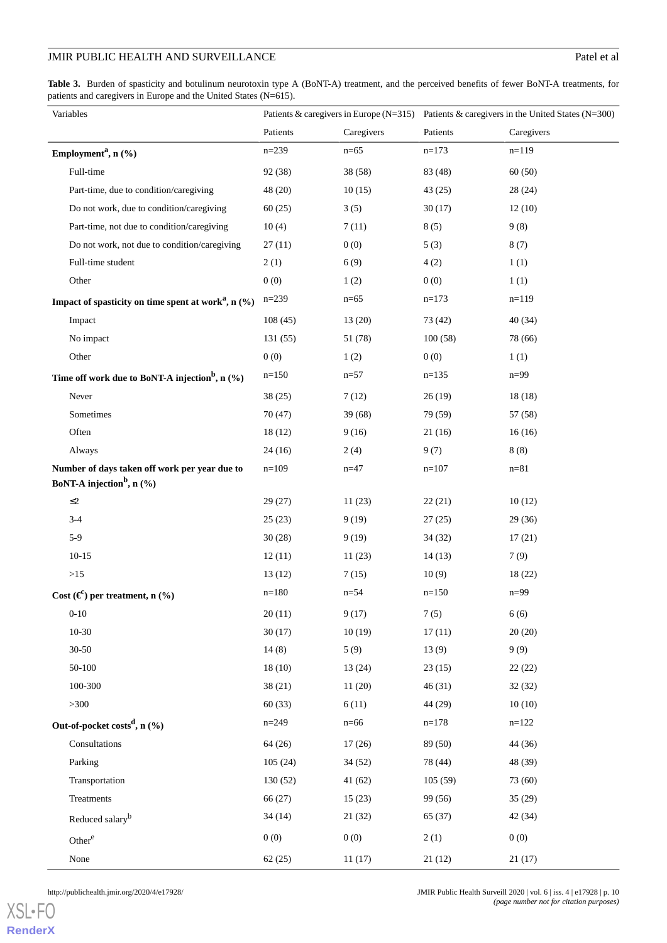<span id="page-9-0"></span>Table 3. Burden of spasticity and botulinum neurotoxin type A (BoNT-A) treatment, and the perceived benefits of fewer BoNT-A treatments, for patients and caregivers in Europe and the United States (N=615).

| Variables                                                          |           |            | Patients & caregivers in Europe (N=315) Patients & caregivers in the United States (N=300) |            |  |
|--------------------------------------------------------------------|-----------|------------|--------------------------------------------------------------------------------------------|------------|--|
|                                                                    | Patients  | Caregivers | Patients                                                                                   | Caregivers |  |
| Employment <sup>a</sup> , n (%)                                    | $n = 239$ | $n=65$     | $n=173$                                                                                    | $n=119$    |  |
| Full-time                                                          | 92 (38)   | 38(58)     | 83 (48)                                                                                    | 60(50)     |  |
| Part-time, due to condition/caregiving                             | 48 (20)   | 10(15)     | 43(25)                                                                                     | 28(24)     |  |
| Do not work, due to condition/caregiving                           | 60(25)    | 3(5)       | 30(17)                                                                                     | 12(10)     |  |
| Part-time, not due to condition/caregiving                         | 10(4)     | 7(11)      | 8(5)                                                                                       | 9(8)       |  |
| Do not work, not due to condition/caregiving                       | 27(11)    | 0(0)       | 5(3)                                                                                       | 8(7)       |  |
| Full-time student                                                  | 2(1)      | 6(9)       | 4(2)                                                                                       | 1(1)       |  |
| Other                                                              | 0(0)      | 1(2)       | 0(0)                                                                                       | 1(1)       |  |
| Impact of spasticity on time spent at work <sup>a</sup> , n $(\%)$ | $n=239$   | $n=65$     | $n=173$                                                                                    | $n=119$    |  |
| Impact                                                             | 108(45)   | 13(20)     | 73 (42)                                                                                    | 40(34)     |  |
| No impact                                                          | 131(55)   | 51 (78)    | 100(58)                                                                                    | 78 (66)    |  |
| Other                                                              | 0(0)      | 1(2)       | 0(0)                                                                                       | 1(1)       |  |
| Time off work due to BoNT-A injection <sup>b</sup> , n $(\%)$      | $n=150$   | $n = 57$   | $n=135$                                                                                    | $n=99$     |  |
| Never                                                              | 38(25)    | 7(12)      | 26(19)                                                                                     | 18(18)     |  |
| Sometimes                                                          | 70(47)    | 39(68)     | 79 (59)                                                                                    | 57 (58)    |  |
| Often                                                              | 18(12)    | 9(16)      | 21(16)                                                                                     | 16(16)     |  |
| Always                                                             | 24(16)    | 2(4)       | 9(7)                                                                                       | 8(8)       |  |
| Number of days taken off work per year due to                      | $n=109$   | $n = 47$   | $n=107$                                                                                    | $n = 81$   |  |
| BoNT-A injection <sup>b</sup> , n $(\%)$                           |           |            |                                                                                            |            |  |
| $\leq$ 2                                                           | 29(27)    | 11(23)     | 22(21)                                                                                     | 10(12)     |  |
| $3-4$                                                              | 25(23)    | 9(19)      | 27(25)                                                                                     | 29(36)     |  |
| $5-9$                                                              | 30(28)    | 9(19)      | 34(32)                                                                                     | 17(21)     |  |
| $10-15$                                                            | 12(11)    | 11(23)     | 14(13)                                                                                     | 7(9)       |  |
| >15                                                                | 13(12)    | 7(15)      | 10(9)                                                                                      | 18(22)     |  |
| Cost $(\mathfrak{E})$ per treatment, n $(\%)$                      | $n=180$   | $n = 54$   | $n=150$                                                                                    | $n = 99$   |  |
| $0 - 10$                                                           | 20(11)    | 9(17)      | 7(5)                                                                                       | 6(6)       |  |
| $10-30$                                                            | 30(17)    | 10(19)     | 17(11)                                                                                     | 20(20)     |  |
| $30 - 50$                                                          | 14(8)     | 5(9)       | 13(9)                                                                                      | 9(9)       |  |
| 50-100                                                             | 18(10)    | 13(24)     | 23(15)                                                                                     | 22(22)     |  |
| 100-300                                                            | 38(21)    | 11(20)     | 46(31)                                                                                     | 32(32)     |  |
| >300                                                               | 60(33)    | 6(11)      | 44 (29)                                                                                    | 10(10)     |  |
| Out-of-pocket costs <sup>d</sup> , n $(\%)$                        | $n = 249$ | $n=66$     | $n=178$                                                                                    | $n=122$    |  |
| Consultations                                                      | 64(26)    | 17(26)     | 89 (50)                                                                                    | 44 (36)    |  |
| Parking                                                            | 105(24)   | 34(52)     | 78 (44)                                                                                    | 48 (39)    |  |
| Transportation                                                     | 130(52)   | 41(62)     | 105(59)                                                                                    | 73 (60)    |  |
| Treatments                                                         | 66 (27)   | 15(23)     | 99 (56)                                                                                    | 35(29)     |  |
| Reduced salary <sup>b</sup>                                        | 34(14)    | 21(32)     | 65 (37)                                                                                    | 42(34)     |  |
| Other <sup>e</sup>                                                 | 0(0)      | 0(0)       | 2(1)                                                                                       | 0(0)       |  |
| None                                                               | 62(25)    | 11(17)     | 21(12)                                                                                     | 21(17)     |  |

[XSL](http://www.w3.org/Style/XSL)•FO **[RenderX](http://www.renderx.com/)**

http://publichealth.jmir.org/2020/4/e17928/ JMIR Public Health Surveill 2020 | vol. 6 | iss. 4 | e17928 | p. 10 *(page number not for citation purposes)*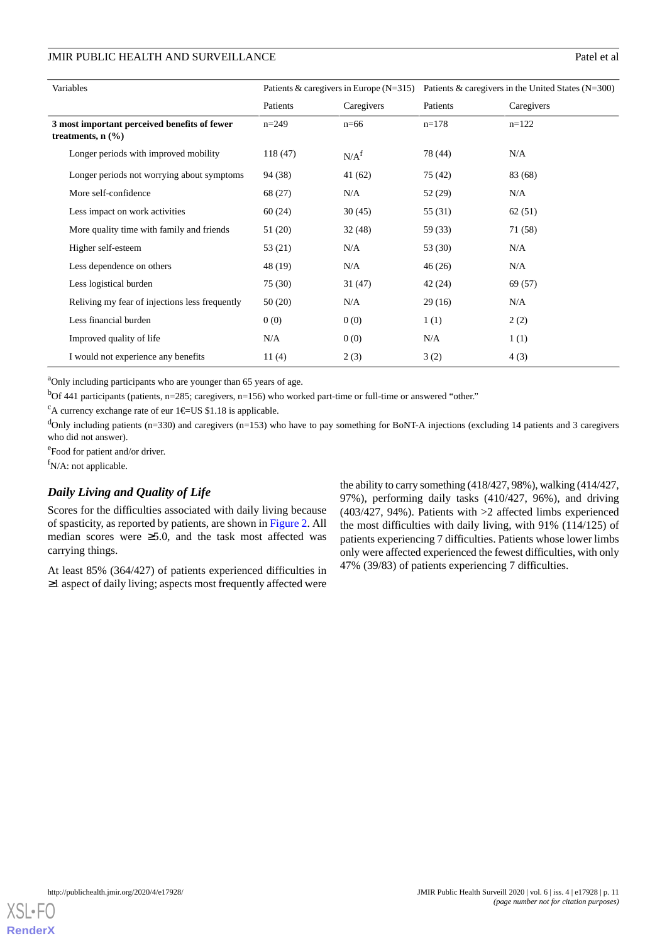| Variables                                                                       | Patients & caregivers in Europe $(N=315)$ |                  | Patients & caregivers in the United States $(N=300)$ |            |  |
|---------------------------------------------------------------------------------|-------------------------------------------|------------------|------------------------------------------------------|------------|--|
|                                                                                 | Caregivers<br>Patients                    |                  | Patients                                             | Caregivers |  |
| 3 most important perceived benefits of fewer<br>treatments, $n$ $(\frac{9}{6})$ | $n=249$                                   | $n=66$           | $n=178$                                              | $n=122$    |  |
| Longer periods with improved mobility                                           | 118 (47)                                  | N/A <sup>f</sup> | 78 (44)                                              | N/A        |  |
| Longer periods not worrying about symptoms                                      | 94 (38)                                   | 41(62)           | 75 (42)                                              | 83 (68)    |  |
| More self-confidence                                                            | 68 (27)                                   | N/A              | 52 (29)                                              | N/A        |  |
| Less impact on work activities                                                  | 60(24)                                    | 30(45)           | 55 (31)                                              | 62(51)     |  |
| More quality time with family and friends                                       | 51 (20)                                   | 32(48)           | 59 (33)                                              | 71 (58)    |  |
| Higher self-esteem                                                              | 53 (21)                                   | N/A              | 53(30)                                               | N/A        |  |
| Less dependence on others                                                       | 48 (19)                                   | N/A              | 46(26)                                               | N/A        |  |
| Less logistical burden                                                          | 75 (30)                                   | 31(47)           | 42(24)                                               | 69 (57)    |  |
| Reliving my fear of injections less frequently                                  | 50(20)                                    | N/A              | 29(16)                                               | N/A        |  |
| Less financial burden                                                           | 0(0)                                      | 0(0)             | 1(1)                                                 | 2(2)       |  |
| Improved quality of life                                                        | N/A                                       | 0(0)             | N/A                                                  | 1(1)       |  |
| I would not experience any benefits                                             | 11 $(4)$                                  | 2(3)             | 3(2)                                                 | 4(3)       |  |

<sup>a</sup>Only including participants who are younger than 65 years of age.

 $<sup>b</sup>$ Of 441 participants (patients, n=285; caregivers, n=156) who worked part-time or full-time or answered "other."</sup>

<sup>c</sup>A currency exchange rate of eur 1 $E$ US \$1.18 is applicable.

 $d$ Only including patients (n=330) and caregivers (n=153) who have to pay something for BoNT-A injections (excluding 14 patients and 3 caregivers who did not answer).

e<br>Food for patient and/or driver.

 $f_{N/A}$ : not applicable.

## *Daily Living and Quality of Life*

Scores for the difficulties associated with daily living because of spasticity, as reported by patients, are shown in [Figure 2](#page-11-0). All median scores were  $\geq 5.0$ , and the task most affected was carrying things.

At least 85% (364/427) of patients experienced difficulties in ≥1 aspect of daily living; aspects most frequently affected were

the ability to carry something (418/427, 98%), walking (414/427, 97%), performing daily tasks (410/427, 96%), and driving (403/427, 94%). Patients with >2 affected limbs experienced the most difficulties with daily living, with 91% (114/125) of patients experiencing 7 difficulties. Patients whose lower limbs only were affected experienced the fewest difficulties, with only 47% (39/83) of patients experiencing 7 difficulties.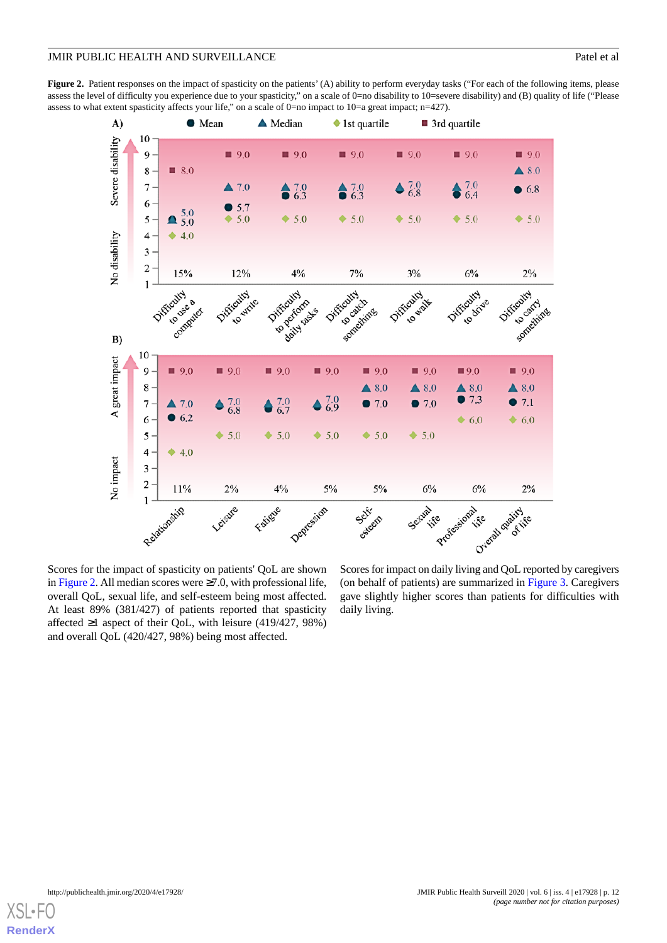<span id="page-11-0"></span>**Figure 2.** Patient responses on the impact of spasticity on the patients' (A) ability to perform everyday tasks ("For each of the following items, please assess the level of difficulty you experience due to your spasticity," on a scale of 0=no disability to 10=severe disability) and (B) quality of life ("Please assess to what extent spasticity affects your life," on a scale of 0=no impact to 10=a great impact; n=427).



Scores for the impact of spasticity on patients' QoL are shown in [Figure 2](#page-11-0). All median scores were  $\geq 7.0$ , with professional life, overall QoL, sexual life, and self-esteem being most affected. At least 89% (381/427) of patients reported that spasticity affected  $\geq 1$  aspect of their QoL, with leisure (419/427, 98%) and overall QoL (420/427, 98%) being most affected.

Scores for impact on daily living and QoL reported by caregivers (on behalf of patients) are summarized in [Figure 3.](#page-12-0) Caregivers gave slightly higher scores than patients for difficulties with daily living.

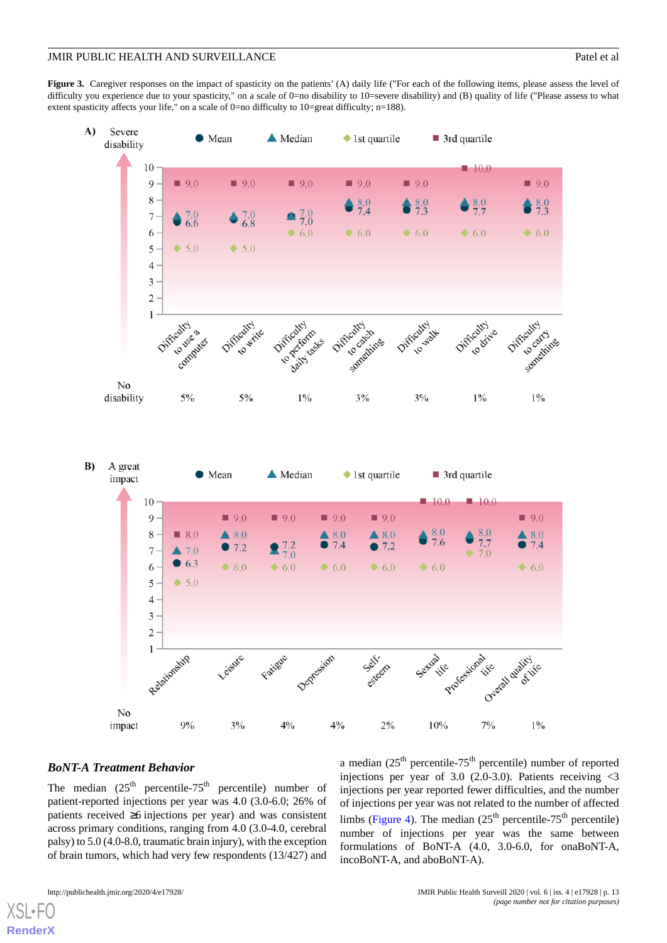<span id="page-12-0"></span>Figure 3. Caregiver responses on the impact of spasticity on the patients' (A) daily life ("For each of the following items, please assess the level of difficulty you experience due to your spasticity," on a scale of 0=no disability to 10=severe disability) and (B) quality of life ("Please assess to what extent spasticity affects your life," on a scale of 0=no difficulty to 10=great difficulty; n=188).



## *BoNT-A Treatment Behavior*

The median  $(25<sup>th</sup>$  percentile-75<sup>th</sup> percentile) number of patient-reported injections per year was 4.0 (3.0-6.0; 26% of patients received ≥6 injections per year) and was consistent across primary conditions, ranging from 4.0 (3.0-4.0, cerebral palsy) to 5.0 (4.0-8.0, traumatic brain injury), with the exception of brain tumors, which had very few respondents (13/427) and

a median  $(25<sup>th</sup>$  percentile-75<sup>th</sup> percentile) number of reported injections per year of 3.0 (2.0-3.0). Patients receiving  $\langle 3 \rangle$ injections per year reported fewer difficulties, and the number of injections per year was not related to the number of affected limbs [\(Figure 4\)](#page-13-0). The median  $(25<sup>th</sup>$  percentile-75<sup>th</sup> percentile) number of injections per year was the same between formulations of BoNT-A (4.0, 3.0-6.0, for onaBoNT-A, incoBoNT-A, and aboBoNT-A).

[XSL](http://www.w3.org/Style/XSL)•FO **[RenderX](http://www.renderx.com/)**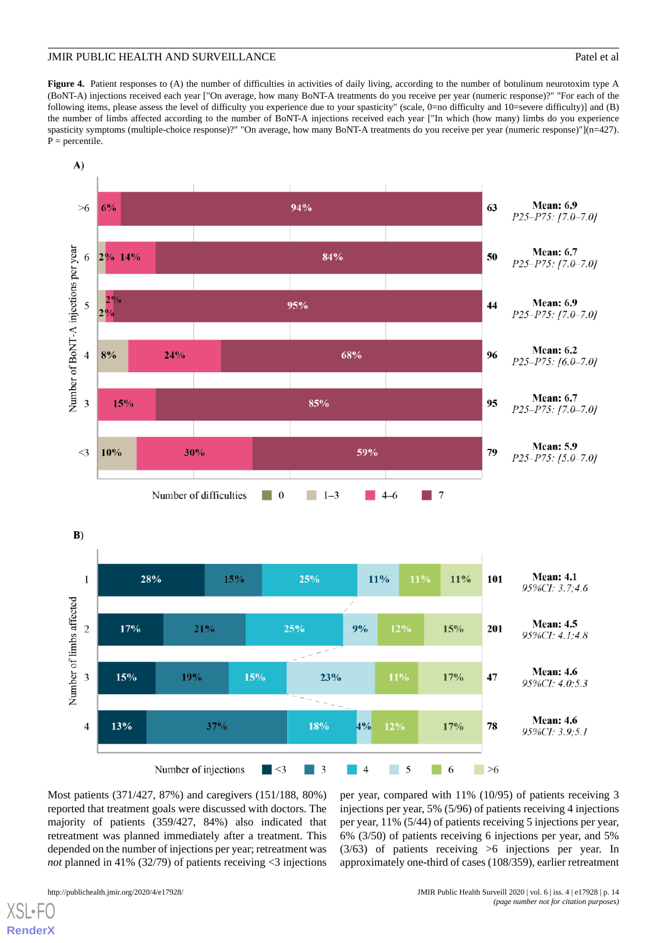<span id="page-13-0"></span>Figure 4. Patient responses to (A) the number of difficulties in activities of daily living, according to the number of botulinum neurotoxim type A (BoNT-A) injections received each year ["On average, how many BoNT-A treatments do you receive per year (numeric response)?" "For each of the following items, please assess the level of difficulty you experience due to your spasticity" (scale, 0=no difficulty and 10=severe difficulty)] and (B) the number of limbs affected according to the number of BoNT-A injections received each year ["In which (how many) limbs do you experience spasticity symptoms (multiple-choice response)?" "On average, how many BoNT-A treatments do you receive per year (numeric response)"](n=427).  $P =$  percentile.



Most patients (371/427, 87%) and caregivers (151/188, 80%) reported that treatment goals were discussed with doctors. The majority of patients (359/427, 84%) also indicated that retreatment was planned immediately after a treatment. This depended on the number of injections per year; retreatment was *not* planned in 41% (32/79) of patients receiving <3 injections

 $XS$  • FC **[RenderX](http://www.renderx.com/)**

http://publichealth.jmir.org/2020/4/e17928/ JMIR Public Health Surveill 2020 | vol. 6 | iss. 4 | e17928 | p. 14 *(page number not for citation purposes)*

injections per year, 5% (5/96) of patients receiving 4 injections per year, 11% (5/44) of patients receiving 5 injections per year, 6% (3/50) of patients receiving 6 injections per year, and 5% (3/63) of patients receiving >6 injections per year. In approximately one-third of cases (108/359), earlier retreatment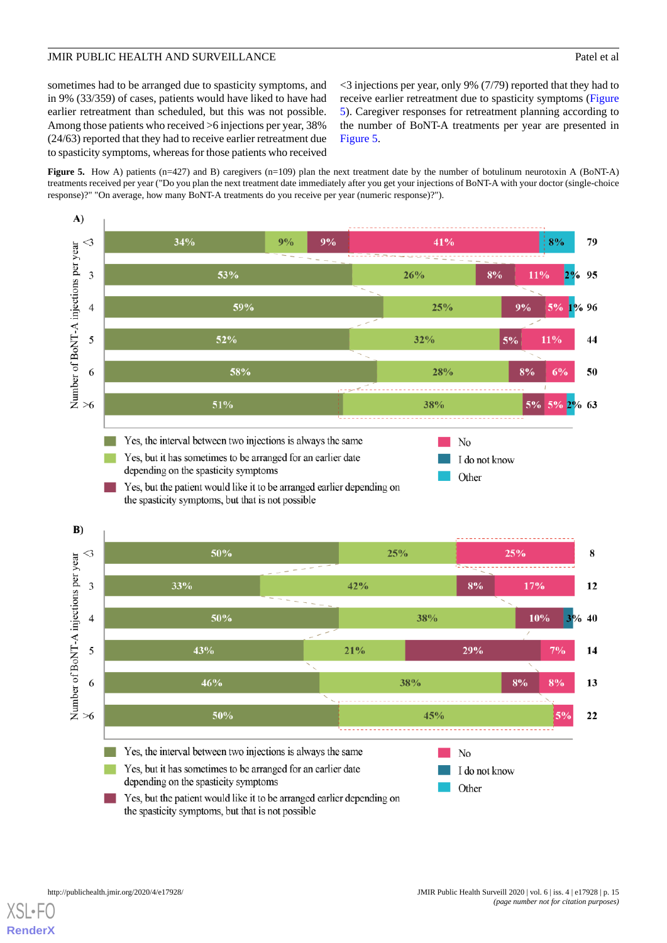sometimes had to be arranged due to spasticity symptoms, and in 9% (33/359) of cases, patients would have liked to have had earlier retreatment than scheduled, but this was not possible. Among those patients who received >6 injections per year, 38% (24/63) reported that they had to receive earlier retreatment due to spasticity symptoms, whereas for those patients who received

<3 injections per year, only 9% (7/79) reported that they had to receive earlier retreatment due to spasticity symptoms ([Figure](#page-14-0) [5\)](#page-14-0). Caregiver responses for retreatment planning according to the number of BoNT-A treatments per year are presented in [Figure 5](#page-14-0).

<span id="page-14-0"></span>**Figure 5.** How A) patients (n=427) and B) caregivers (n=109) plan the next treatment date by the number of botulinum neurotoxin A (BoNT-A) treatments received per year ("Do you plan the next treatment date immediately after you get your injections of BoNT-A with your doctor (single-choice response)?" "On average, how many BoNT-A treatments do you receive per year (numeric response)?").



 $XS$ l • FC **[RenderX](http://www.renderx.com/)**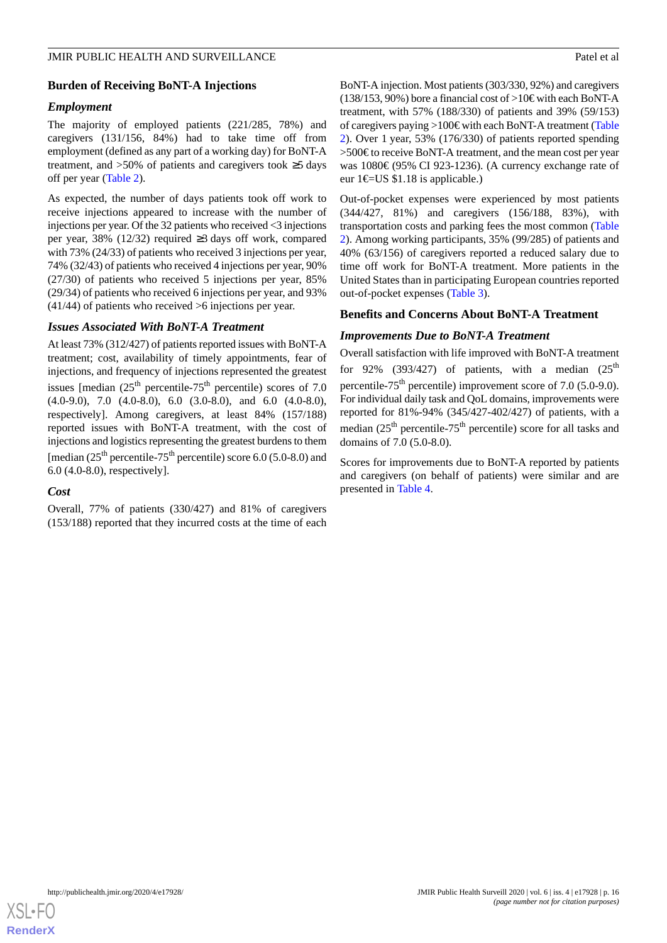## **Burden of Receiving BoNT-A Injections**

#### *Employment*

The majority of employed patients (221/285, 78%) and caregivers (131/156, 84%) had to take time off from employment (defined as any part of a working day) for BoNT-A treatment, and >50% of patients and caregivers took ≥5 days off per year ([Table 2](#page-7-0)).

As expected, the number of days patients took off work to receive injections appeared to increase with the number of injections per year. Of the 32 patients who received <3 injections per year, 38% (12/32) required ≥3 days off work, compared with 73% (24/33) of patients who received 3 injections per year, 74% (32/43) of patients who received 4 injections per year, 90% (27/30) of patients who received 5 injections per year, 85% (29/34) of patients who received 6 injections per year, and 93% (41/44) of patients who received >6 injections per year.

#### *Issues Associated With BoNT-A Treatment*

At least 73% (312/427) of patients reported issues with BoNT-A treatment; cost, availability of timely appointments, fear of injections, and frequency of injections represented the greatest issues [median  $(25<sup>th</sup>$  percentile-75<sup>th</sup> percentile) scores of 7.0  $(4.0-9.0)$ ,  $7.0$   $(4.0-8.0)$ ,  $6.0$   $(3.0-8.0)$ , and  $6.0$   $(4.0-8.0)$ , respectively]. Among caregivers, at least 84% (157/188) reported issues with BoNT-A treatment, with the cost of injections and logistics representing the greatest burdens to them [median  $(25<sup>th</sup>$  percentile-75<sup>th</sup> percentile) score 6.0 (5.0-8.0) and 6.0 (4.0-8.0), respectively].

#### *Cost*

Overall, 77% of patients (330/427) and 81% of caregivers (153/188) reported that they incurred costs at the time of each BoNT-A injection. Most patients (303/330, 92%) and caregivers (138/153, 90%) bore a financial cost of >10€ with each BoNT-A treatment, with 57% (188/330) of patients and 39% (59/153) of caregivers paying >100€ with each BoNT-A treatment [\(Table](#page-7-0) [2\)](#page-7-0). Over 1 year, 53% (176/330) of patients reported spending >500€ to receive BoNT-A treatment, and the mean cost per year was 1080€ (95% CI 923-1236). (A currency exchange rate of eur 1€=US \$1.18 is applicable.)

Out-of-pocket expenses were experienced by most patients (344/427, 81%) and caregivers (156/188, 83%), with transportation costs and parking fees the most common ([Table](#page-7-0) [2\)](#page-7-0). Among working participants, 35% (99/285) of patients and 40% (63/156) of caregivers reported a reduced salary due to time off work for BoNT-A treatment. More patients in the United States than in participating European countries reported out-of-pocket expenses [\(Table 3\)](#page-9-0).

### **Benefits and Concerns About BoNT-A Treatment**

#### *Improvements Due to BoNT-A Treatment*

Overall satisfaction with life improved with BoNT-A treatment for 92% (393/427) of patients, with a median  $(25<sup>th</sup>$ percentile-75<sup>th</sup> percentile) improvement score of 7.0 (5.0-9.0). For individual daily task and QoL domains, improvements were reported for 81%-94% (345/427-402/427) of patients, with a median  $(25<sup>th</sup>$  percentile-75<sup>th</sup> percentile) score for all tasks and domains of 7.0 (5.0-8.0).

Scores for improvements due to BoNT-A reported by patients and caregivers (on behalf of patients) were similar and are presented in [Table 4](#page-16-0).

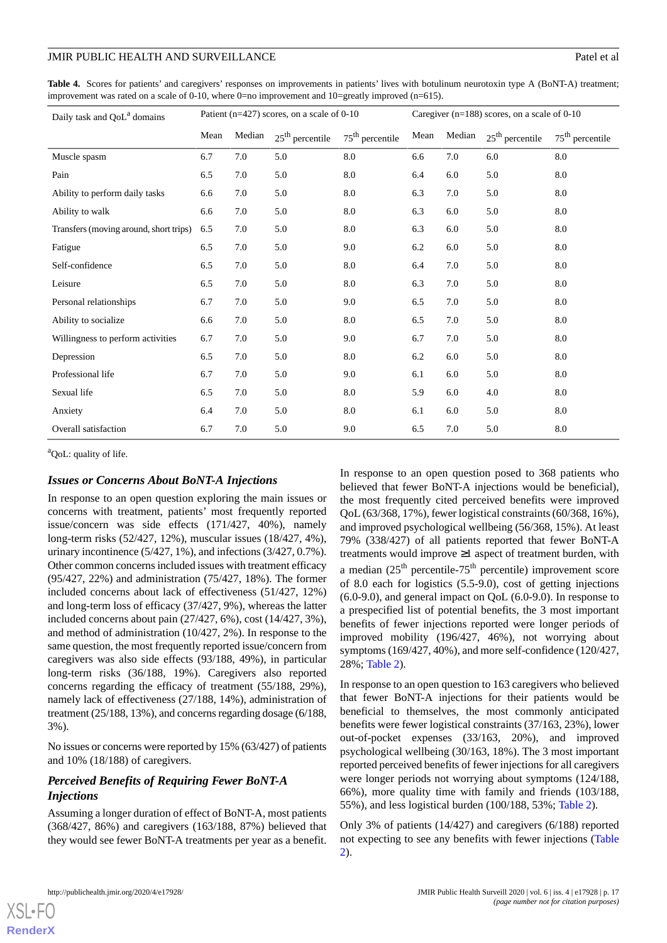<span id="page-16-0"></span>**Table 4.** Scores for patients' and caregivers' responses on improvements in patients' lives with botulinum neurotoxin type A (BoNT-A) treatment; improvement was rated on a scale of 0-10, where 0=no improvement and  $10$ =greatly improved (n=615).

| Daily task and QoL <sup>a</sup> domains | Patient (n=427) scores, on a scale of 0-10 |        |                   | Caregiver ( $n=188$ ) scores, on a scale of 0-10 |      |        |                   |                   |
|-----------------------------------------|--------------------------------------------|--------|-------------------|--------------------------------------------------|------|--------|-------------------|-------------------|
|                                         | Mean                                       | Median | $25th$ percentile | $75th$ percentile                                | Mean | Median | $25th$ percentile | $75th$ percentile |
| Muscle spasm                            | 6.7                                        | 7.0    | 5.0               | $\rm 8.0$                                        | 6.6  | 7.0    | 6.0               | 8.0               |
| Pain                                    | 6.5                                        | 7.0    | 5.0               | 8.0                                              | 6.4  | 6.0    | 5.0               | 8.0               |
| Ability to perform daily tasks          | 6.6                                        | 7.0    | 5.0               | 8.0                                              | 6.3  | 7.0    | 5.0               | 8.0               |
| Ability to walk                         | 6.6                                        | 7.0    | 5.0               | 8.0                                              | 6.3  | 6.0    | 5.0               | 8.0               |
| Transfers (moving around, short trips)  | 6.5                                        | 7.0    | 5.0               | 8.0                                              | 6.3  | 6.0    | 5.0               | 8.0               |
| Fatigue                                 | 6.5                                        | 7.0    | 5.0               | 9.0                                              | 6.2  | 6.0    | 5.0               | 8.0               |
| Self-confidence                         | 6.5                                        | 7.0    | 5.0               | 8.0                                              | 6.4  | 7.0    | 5.0               | 8.0               |
| Leisure                                 | 6.5                                        | 7.0    | 5.0               | 8.0                                              | 6.3  | 7.0    | 5.0               | 8.0               |
| Personal relationships                  | 6.7                                        | 7.0    | 5.0               | 9.0                                              | 6.5  | 7.0    | 5.0               | 8.0               |
| Ability to socialize                    | 6.6                                        | 7.0    | 5.0               | 8.0                                              | 6.5  | 7.0    | 5.0               | 8.0               |
| Willingness to perform activities       | 6.7                                        | 7.0    | 5.0               | 9.0                                              | 6.7  | 7.0    | 5.0               | 8.0               |
| Depression                              | 6.5                                        | 7.0    | 5.0               | 8.0                                              | 6.2  | 6.0    | 5.0               | 8.0               |
| Professional life                       | 6.7                                        | 7.0    | 5.0               | 9.0                                              | 6.1  | 6.0    | 5.0               | 8.0               |
| Sexual life                             | 6.5                                        | 7.0    | 5.0               | $\rm 8.0$                                        | 5.9  | 6.0    | 4.0               | 8.0               |
| Anxiety                                 | 6.4                                        | 7.0    | 5.0               | 8.0                                              | 6.1  | 6.0    | 5.0               | 8.0               |
| Overall satisfaction                    | 6.7                                        | 7.0    | 5.0               | 9.0                                              | 6.5  | 7.0    | 5.0               | 8.0               |

<sup>a</sup>QoL: quality of life.

## *Issues or Concerns About BoNT-A Injections*

In response to an open question exploring the main issues or concerns with treatment, patients' most frequently reported issue/concern was side effects (171/427, 40%), namely long-term risks (52/427, 12%), muscular issues (18/427, 4%), urinary incontinence (5/427, 1%), and infections (3/427, 0.7%). Other common concerns included issues with treatment efficacy (95/427, 22%) and administration (75/427, 18%). The former included concerns about lack of effectiveness (51/427, 12%) and long-term loss of efficacy (37/427, 9%), whereas the latter included concerns about pain (27/427, 6%), cost (14/427, 3%), and method of administration (10/427, 2%). In response to the same question, the most frequently reported issue/concern from caregivers was also side effects (93/188, 49%), in particular long-term risks (36/188, 19%). Caregivers also reported concerns regarding the efficacy of treatment (55/188, 29%), namely lack of effectiveness (27/188, 14%), administration of treatment (25/188, 13%), and concerns regarding dosage (6/188, 3%).

No issues or concerns were reported by 15% (63/427) of patients and 10% (18/188) of caregivers.

## *Perceived Benefits of Requiring Fewer BoNT-A Injections*

Assuming a longer duration of effect of BoNT-A, most patients (368/427, 86%) and caregivers (163/188, 87%) believed that they would see fewer BoNT-A treatments per year as a benefit.

In response to an open question posed to 368 patients who believed that fewer BoNT-A injections would be beneficial), the most frequently cited perceived benefits were improved QoL (63/368, 17%), fewer logistical constraints (60/368, 16%), and improved psychological wellbeing (56/368, 15%). At least 79% (338/427) of all patients reported that fewer BoNT-A treatments would improve ≥1 aspect of treatment burden, with a median  $(25<sup>th</sup>$  percentile-75<sup>th</sup> percentile) improvement score of 8.0 each for logistics  $(5.5-9.0)$ , cost of getting injections (6.0-9.0), and general impact on QoL (6.0-9.0). In response to a prespecified list of potential benefits, the 3 most important benefits of fewer injections reported were longer periods of improved mobility (196/427, 46%), not worrying about symptoms (169/427, 40%), and more self-confidence (120/427, 28%; [Table 2\)](#page-7-0).

In response to an open question to 163 caregivers who believed that fewer BoNT-A injections for their patients would be beneficial to themselves, the most commonly anticipated benefits were fewer logistical constraints (37/163, 23%), lower out-of-pocket expenses (33/163, 20%), and improved psychological wellbeing (30/163, 18%). The 3 most important reported perceived benefits of fewer injections for all caregivers were longer periods not worrying about symptoms (124/188, 66%), more quality time with family and friends (103/188, 55%), and less logistical burden (100/188, 53%; [Table 2](#page-7-0)).

Only 3% of patients (14/427) and caregivers (6/188) reported not expecting to see any benefits with fewer injections ([Table](#page-7-0) [2\)](#page-7-0).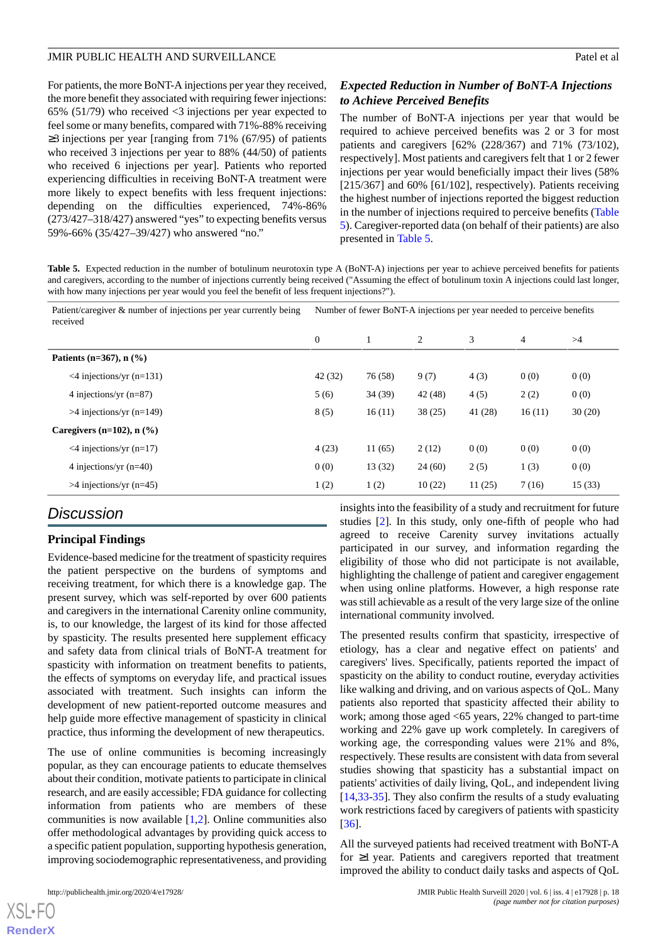For patients, the more BoNT-A injections per year they received, the more benefit they associated with requiring fewer injections: 65% (51/79) who received <3 injections per year expected to feel some or many benefits, compared with 71%-88% receiving ≥3 injections per year [ranging from 71% (67/95) of patients who received 3 injections per year to 88% (44/50) of patients who received 6 injections per year]. Patients who reported experiencing difficulties in receiving BoNT-A treatment were more likely to expect benefits with less frequent injections: depending on the difficulties experienced, 74%-86% (273/427–318/427) answered "yes" to expecting benefits versus 59%-66% (35/427–39/427) who answered "no."

## *Expected Reduction in Number of BoNT-A Injections to Achieve Perceived Benefits*

The number of BoNT-A injections per year that would be required to achieve perceived benefits was 2 or 3 for most patients and caregivers [62% (228/367) and 71% (73/102), respectively]. Most patients and caregivers felt that 1 or 2 fewer injections per year would beneficially impact their lives (58% [215/367] and 60% [61/102], respectively). Patients receiving the highest number of injections reported the biggest reduction in the number of injections required to perceive benefits ([Table](#page-17-0) [5\)](#page-17-0). Caregiver-reported data (on behalf of their patients) are also presented in [Table 5](#page-17-0).

<span id="page-17-0"></span>**Table 5.** Expected reduction in the number of botulinum neurotoxin type A (BoNT-A) injections per year to achieve perceived benefits for patients and caregivers, according to the number of injections currently being received ("Assuming the effect of botulinum toxin A injections could last longer, with how many injections per year would you feel the benefit of less frequent injections?").

| Patient/caregiver & number of injections per year currently being<br>received | Number of fewer BoNT-A injections per year needed to perceive benefits |         |         |         |        |        |
|-------------------------------------------------------------------------------|------------------------------------------------------------------------|---------|---------|---------|--------|--------|
|                                                                               | $\mathbf{0}$                                                           |         | 2       | 3       | 4      | >4     |
| Patients (n= $367$ ), n $(\frac{9}{6})$                                       |                                                                        |         |         |         |        |        |
| $\leq$ 4 injections/yr (n=131)                                                | 42(32)                                                                 | 76 (58) | 9(7)    | 4(3)    | 0(0)   | 0(0)   |
| 4 injections/yr $(n=87)$                                                      | 5(6)                                                                   | 34 (39) | 42 (48) | 4(5)    | 2(2)   | 0(0)   |
| $>4$ injections/yr (n=149)                                                    | 8(5)                                                                   | 16(11)  | 38(25)  | 41 (28) | 16(11) | 30(20) |
| Caregivers $(n=102)$ , n $(\% )$                                              |                                                                        |         |         |         |        |        |
| $\leq$ 4 injections/yr (n=17)                                                 | 4(23)                                                                  | 11(65)  | 2(12)   | 0(0)    | 0(0)   | 0(0)   |
| 4 injections/yr $(n=40)$                                                      | 0(0)                                                                   | 13(32)  | 24(60)  | 2(5)    | 1(3)   | 0(0)   |
| $>4$ injections/yr (n=45)                                                     | 1(2)                                                                   | 1(2)    | 10(22)  | 11(25)  | 7(16)  | 15(33) |

## *Discussion*

## **Principal Findings**

Evidence-based medicine for the treatment of spasticity requires the patient perspective on the burdens of symptoms and receiving treatment, for which there is a knowledge gap. The present survey, which was self-reported by over 600 patients and caregivers in the international Carenity online community, is, to our knowledge, the largest of its kind for those affected by spasticity. The results presented here supplement efficacy and safety data from clinical trials of BoNT-A treatment for spasticity with information on treatment benefits to patients, the effects of symptoms on everyday life, and practical issues associated with treatment. Such insights can inform the development of new patient-reported outcome measures and help guide more effective management of spasticity in clinical practice, thus informing the development of new therapeutics.

The use of online communities is becoming increasingly popular, as they can encourage patients to educate themselves about their condition, motivate patients to participate in clinical research, and are easily accessible; FDA guidance for collecting information from patients who are members of these communities is now available [\[1](#page-19-0),[2\]](#page-19-1). Online communities also offer methodological advantages by providing quick access to a specific patient population, supporting hypothesis generation, improving sociodemographic representativeness, and providing

 $X$ SL•FO **[RenderX](http://www.renderx.com/)** insights into the feasibility of a study and recruitment for future studies [[2\]](#page-19-1). In this study, only one-fifth of people who had agreed to receive Carenity survey invitations actually participated in our survey, and information regarding the eligibility of those who did not participate is not available, highlighting the challenge of patient and caregiver engagement when using online platforms. However, a high response rate was still achievable as a result of the very large size of the online international community involved.

The presented results confirm that spasticity, irrespective of etiology, has a clear and negative effect on patients' and caregivers' lives. Specifically, patients reported the impact of spasticity on the ability to conduct routine, everyday activities like walking and driving, and on various aspects of QoL. Many patients also reported that spasticity affected their ability to work; among those aged <65 years, 22% changed to part-time working and 22% gave up work completely. In caregivers of working age, the corresponding values were 21% and 8%, respectively. These results are consistent with data from several studies showing that spasticity has a substantial impact on patients' activities of daily living, QoL, and independent living [[14,](#page-20-3)[33-](#page-21-3)[35\]](#page-21-4). They also confirm the results of a study evaluating work restrictions faced by caregivers of patients with spasticity [[36\]](#page-21-5).

All the surveyed patients had received treatment with BoNT-A for ≥1 year. Patients and caregivers reported that treatment improved the ability to conduct daily tasks and aspects of QoL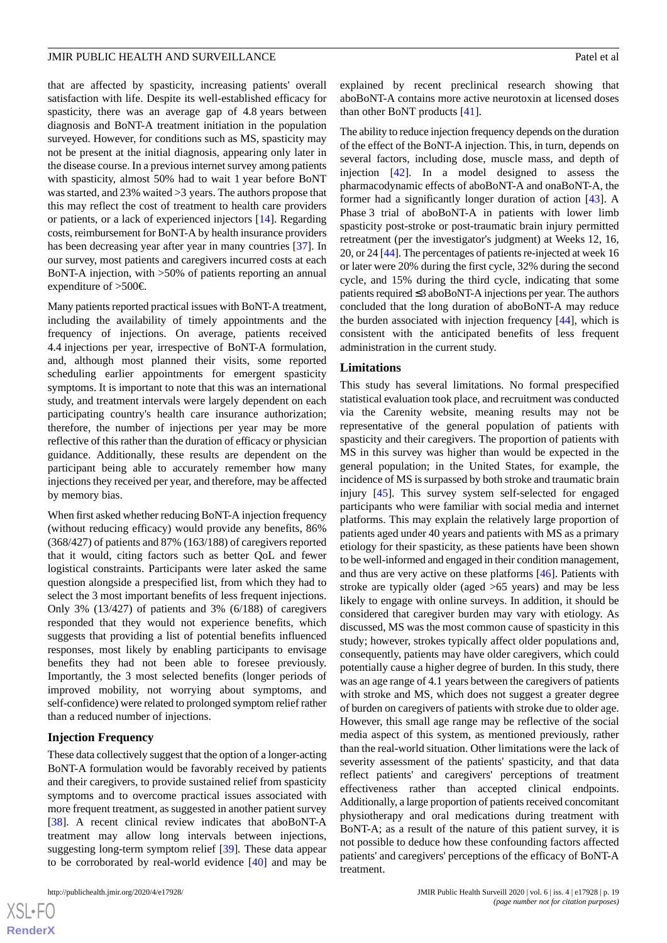that are affected by spasticity, increasing patients' overall satisfaction with life. Despite its well-established efficacy for spasticity, there was an average gap of 4.8 years between diagnosis and BoNT-A treatment initiation in the population surveyed. However, for conditions such as MS, spasticity may not be present at the initial diagnosis, appearing only later in the disease course. In a previous internet survey among patients with spasticity, almost 50% had to wait 1 year before BoNT was started, and 23% waited >3 years. The authors propose that this may reflect the cost of treatment to health care providers or patients, or a lack of experienced injectors [\[14](#page-20-3)]. Regarding costs, reimbursement for BoNT-A by health insurance providers has been decreasing year after year in many countries [[37\]](#page-21-6). In our survey, most patients and caregivers incurred costs at each BoNT-A injection, with >50% of patients reporting an annual expenditure of >500€.

Many patients reported practical issues with BoNT-A treatment, including the availability of timely appointments and the frequency of injections. On average, patients received 4.4 injections per year, irrespective of BoNT-A formulation, and, although most planned their visits, some reported scheduling earlier appointments for emergent spasticity symptoms. It is important to note that this was an international study, and treatment intervals were largely dependent on each participating country's health care insurance authorization; therefore, the number of injections per year may be more reflective of this rather than the duration of efficacy or physician guidance. Additionally, these results are dependent on the participant being able to accurately remember how many injections they received per year, and therefore, may be affected by memory bias.

When first asked whether reducing BoNT-A injection frequency (without reducing efficacy) would provide any benefits, 86% (368/427) of patients and 87% (163/188) of caregivers reported that it would, citing factors such as better QoL and fewer logistical constraints. Participants were later asked the same question alongside a prespecified list, from which they had to select the 3 most important benefits of less frequent injections. Only 3% (13/427) of patients and 3% (6/188) of caregivers responded that they would not experience benefits, which suggests that providing a list of potential benefits influenced responses, most likely by enabling participants to envisage benefits they had not been able to foresee previously. Importantly, the 3 most selected benefits (longer periods of improved mobility, not worrying about symptoms, and self-confidence) were related to prolonged symptom relief rather than a reduced number of injections.

## **Injection Frequency**

These data collectively suggest that the option of a longer-acting BoNT-A formulation would be favorably received by patients and their caregivers, to provide sustained relief from spasticity symptoms and to overcome practical issues associated with more frequent treatment, as suggested in another patient survey [[38\]](#page-21-7). A recent clinical review indicates that aboBoNT-A treatment may allow long intervals between injections, suggesting long-term symptom relief [\[39](#page-21-8)]*.* These data appear to be corroborated by real-world evidence [\[40](#page-21-9)] and may be

 $XS$  $\cdot$ FC **[RenderX](http://www.renderx.com/)** explained by recent preclinical research showing that aboBoNT-A contains more active neurotoxin at licensed doses than other BoNT products [\[41](#page-21-10)].

The ability to reduce injection frequency depends on the duration of the effect of the BoNT-A injection. This, in turn, depends on several factors, including dose, muscle mass, and depth of injection [[42\]](#page-21-11). In a model designed to assess the pharmacodynamic effects of aboBoNT-A and onaBoNT-A, the former had a significantly longer duration of action [[43\]](#page-21-12). A Phase 3 trial of aboBoNT-A in patients with lower limb spasticity post-stroke or post-traumatic brain injury permitted retreatment (per the investigator's judgment) at Weeks 12, 16, 20, or 24 [[44](#page-21-13)]. The percentages of patients re-injected at week 16 or later were 20% during the first cycle, 32% during the second cycle, and 15% during the third cycle, indicating that some patients required ≤3 aboBoNT-A injections per year. The authors concluded that the long duration of aboBoNT-A may reduce the burden associated with injection frequency [[44\]](#page-21-13), which is consistent with the anticipated benefits of less frequent administration in the current study.

#### **Limitations**

This study has several limitations. No formal prespecified statistical evaluation took place, and recruitment was conducted via the Carenity website, meaning results may not be representative of the general population of patients with spasticity and their caregivers. The proportion of patients with MS in this survey was higher than would be expected in the general population; in the United States, for example, the incidence of MS is surpassed by both stroke and traumatic brain injury [\[45](#page-21-14)]. This survey system self-selected for engaged participants who were familiar with social media and internet platforms. This may explain the relatively large proportion of patients aged under 40 years and patients with MS as a primary etiology for their spasticity, as these patients have been shown to be well-informed and engaged in their condition management, and thus are very active on these platforms [\[46](#page-21-15)]. Patients with stroke are typically older (aged >65 years) and may be less likely to engage with online surveys. In addition, it should be considered that caregiver burden may vary with etiology. As discussed, MS was the most common cause of spasticity in this study; however, strokes typically affect older populations and, consequently, patients may have older caregivers, which could potentially cause a higher degree of burden. In this study, there was an age range of 4.1 years between the caregivers of patients with stroke and MS, which does not suggest a greater degree of burden on caregivers of patients with stroke due to older age. However, this small age range may be reflective of the social media aspect of this system, as mentioned previously, rather than the real-world situation. Other limitations were the lack of severity assessment of the patients' spasticity, and that data reflect patients' and caregivers' perceptions of treatment effectiveness rather than accepted clinical endpoints. Additionally, a large proportion of patients received concomitant physiotherapy and oral medications during treatment with BoNT-A; as a result of the nature of this patient survey, it is not possible to deduce how these confounding factors affected patients' and caregivers' perceptions of the efficacy of BoNT-A treatment.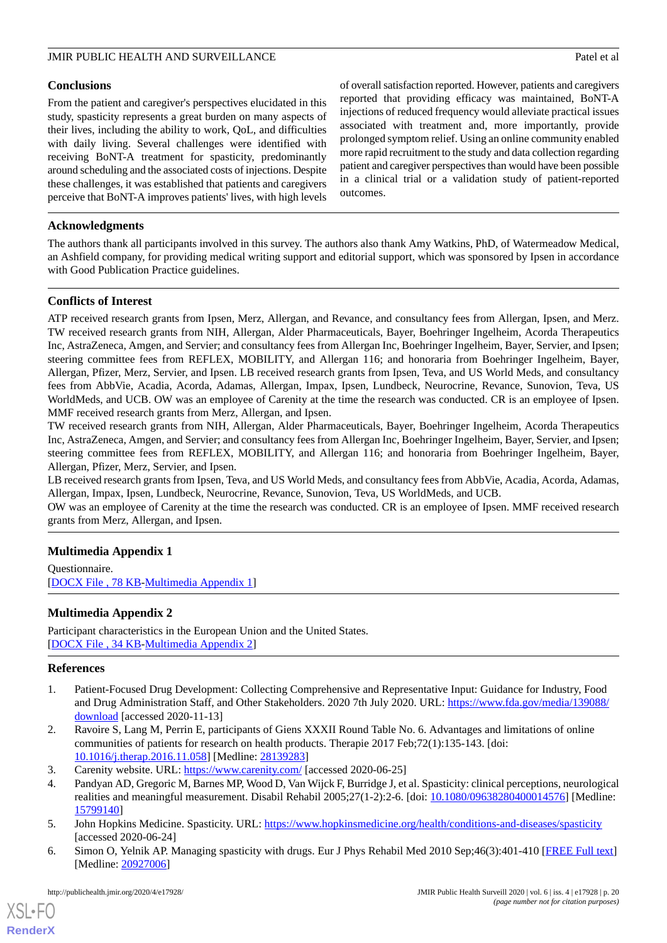### **Conclusions**

From the patient and caregiver's perspectives elucidated in this study, spasticity represents a great burden on many aspects of their lives, including the ability to work, QoL, and difficulties with daily living. Several challenges were identified with receiving BoNT-A treatment for spasticity, predominantly around scheduling and the associated costs of injections. Despite these challenges, it was established that patients and caregivers perceive that BoNT-A improves patients' lives, with high levels

of overall satisfaction reported. However, patients and caregivers reported that providing efficacy was maintained, BoNT-A injections of reduced frequency would alleviate practical issues associated with treatment and, more importantly, provide prolonged symptom relief. Using an online community enabled more rapid recruitment to the study and data collection regarding patient and caregiver perspectives than would have been possible in a clinical trial or a validation study of patient-reported outcomes.

## **Acknowledgments**

The authors thank all participants involved in this survey. The authors also thank Amy Watkins, PhD, of Watermeadow Medical, an Ashfield company, for providing medical writing support and editorial support, which was sponsored by Ipsen in accordance with Good Publication Practice guidelines.

## **Conflicts of Interest**

ATP received research grants from Ipsen, Merz, Allergan, and Revance, and consultancy fees from Allergan, Ipsen, and Merz. TW received research grants from NIH, Allergan, Alder Pharmaceuticals, Bayer, Boehringer Ingelheim, Acorda Therapeutics Inc, AstraZeneca, Amgen, and Servier; and consultancy fees from Allergan Inc, Boehringer Ingelheim, Bayer, Servier, and Ipsen; steering committee fees from REFLEX, MOBILITY, and Allergan 116; and honoraria from Boehringer Ingelheim, Bayer, Allergan, Pfizer, Merz, Servier, and Ipsen. LB received research grants from Ipsen, Teva, and US World Meds, and consultancy fees from AbbVie, Acadia, Acorda, Adamas, Allergan, Impax, Ipsen, Lundbeck, Neurocrine, Revance, Sunovion, Teva, US WorldMeds, and UCB. OW was an employee of Carenity at the time the research was conducted. CR is an employee of Ipsen. MMF received research grants from Merz, Allergan, and Ipsen.

TW received research grants from NIH, Allergan, Alder Pharmaceuticals, Bayer, Boehringer Ingelheim, Acorda Therapeutics Inc, AstraZeneca, Amgen, and Servier; and consultancy fees from Allergan Inc, Boehringer Ingelheim, Bayer, Servier, and Ipsen; steering committee fees from REFLEX, MOBILITY, and Allergan 116; and honoraria from Boehringer Ingelheim, Bayer, Allergan, Pfizer, Merz, Servier, and Ipsen.

LB received research grants from Ipsen, Teva, and US World Meds, and consultancy fees from AbbVie, Acadia, Acorda, Adamas, Allergan, Impax, Ipsen, Lundbeck, Neurocrine, Revance, Sunovion, Teva, US WorldMeds, and UCB.

<span id="page-19-6"></span>OW was an employee of Carenity at the time the research was conducted. CR is an employee of Ipsen. MMF received research grants from Merz, Allergan, and Ipsen.

## <span id="page-19-7"></span>**Multimedia Appendix 1**

Questionnaire. [[DOCX File , 78 KB](https://jmir.org/api/download?alt_name=publichealth_v6i4e17928_app1.docx&filename=3fcaed948ea3d5cac90a7e61096ab19b.docx)-[Multimedia Appendix 1\]](https://jmir.org/api/download?alt_name=publichealth_v6i4e17928_app1.docx&filename=3fcaed948ea3d5cac90a7e61096ab19b.docx)

## <span id="page-19-0"></span>**Multimedia Appendix 2**

Participant characteristics in the European Union and the United States. [[DOCX File , 34 KB](https://jmir.org/api/download?alt_name=publichealth_v6i4e17928_app2.docx&filename=6eb9ab9bca1a54a6fbaea310111f8342.docx)-[Multimedia Appendix 2\]](https://jmir.org/api/download?alt_name=publichealth_v6i4e17928_app2.docx&filename=6eb9ab9bca1a54a6fbaea310111f8342.docx)

#### <span id="page-19-1"></span>**References**

- <span id="page-19-3"></span><span id="page-19-2"></span>1. Patient-Focused Drug Development: Collecting Comprehensive and Representative Input: Guidance for Industry, Food and Drug Administration Staff, and Other Stakeholders. 2020 7th July 2020. URL: [https://www.fda.gov/media/139088/](https://www.fda.gov/media/139088/download) [download](https://www.fda.gov/media/139088/download) [accessed 2020-11-13]
- <span id="page-19-4"></span>2. Ravoire S, Lang M, Perrin E, participants of Giens XXXII Round Table No. 6. Advantages and limitations of online communities of patients for research on health products. Therapie 2017 Feb;72(1):135-143. [doi: [10.1016/j.therap.2016.11.058\]](http://dx.doi.org/10.1016/j.therap.2016.11.058) [Medline: [28139283](http://www.ncbi.nlm.nih.gov/entrez/query.fcgi?cmd=Retrieve&db=PubMed&list_uids=28139283&dopt=Abstract)]
- <span id="page-19-5"></span>3. Carenity website. URL:<https://www.carenity.com/> [accessed 2020-06-25]
- 4. Pandyan AD, Gregoric M, Barnes MP, Wood D, Van Wijck F, Burridge J, et al. Spasticity: clinical perceptions, neurological realities and meaningful measurement. Disabil Rehabil 2005;27(1-2):2-6. [doi: [10.1080/09638280400014576](http://dx.doi.org/10.1080/09638280400014576)] [Medline: [15799140](http://www.ncbi.nlm.nih.gov/entrez/query.fcgi?cmd=Retrieve&db=PubMed&list_uids=15799140&dopt=Abstract)]
- 5. John Hopkins Medicine. Spasticity. URL:<https://www.hopkinsmedicine.org/health/conditions-and-diseases/spasticity> [accessed 2020-06-24]
- 6. Simon O, Yelnik AP. Managing spasticity with drugs. Eur J Phys Rehabil Med 2010 Sep;46(3):401-410 [\[FREE Full text\]](http://www.minervamedica.it/index2.t?show=R33Y2010N03A0401) [Medline: [20927006](http://www.ncbi.nlm.nih.gov/entrez/query.fcgi?cmd=Retrieve&db=PubMed&list_uids=20927006&dopt=Abstract)]

[XSL](http://www.w3.org/Style/XSL)•FO **[RenderX](http://www.renderx.com/)**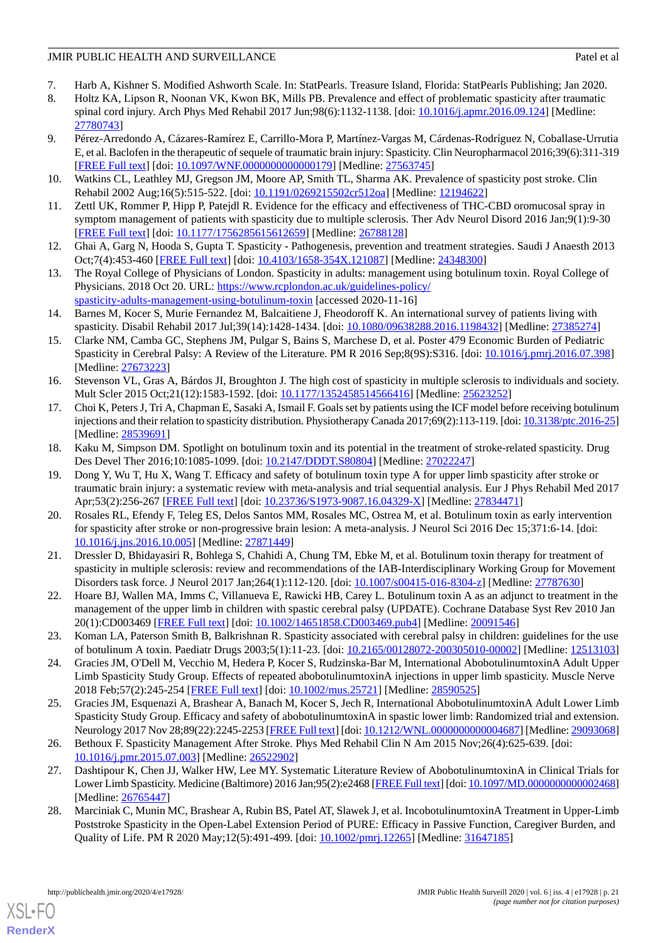- 7. Harb A, Kishner S. Modified Ashworth Scale. In: StatPearls. Treasure Island, Florida: StatPearls Publishing; Jan 2020.
- 8. Holtz KA, Lipson R, Noonan VK, Kwon BK, Mills PB. Prevalence and effect of problematic spasticity after traumatic spinal cord injury. Arch Phys Med Rehabil 2017 Jun;98(6):1132-1138. [doi: [10.1016/j.apmr.2016.09.124\]](http://dx.doi.org/10.1016/j.apmr.2016.09.124) [Medline: [27780743](http://www.ncbi.nlm.nih.gov/entrez/query.fcgi?cmd=Retrieve&db=PubMed&list_uids=27780743&dopt=Abstract)]
- 9. Pérez-Arredondo A, Cázares-Ramírez E, Carrillo-Mora P, Martínez-Vargas M, Cárdenas-Rodríguez N, Coballase-Urrutia E, et al. Baclofen in the therapeutic of sequele of traumatic brain injury: Spasticity. Clin Neuropharmacol 2016;39(6):311-319 [[FREE Full text](http://europepmc.org/abstract/MED/27563745)] [doi: [10.1097/WNF.0000000000000179\]](http://dx.doi.org/10.1097/WNF.0000000000000179) [Medline: [27563745](http://www.ncbi.nlm.nih.gov/entrez/query.fcgi?cmd=Retrieve&db=PubMed&list_uids=27563745&dopt=Abstract)]
- <span id="page-20-0"></span>10. Watkins CL, Leathley MJ, Gregson JM, Moore AP, Smith TL, Sharma AK. Prevalence of spasticity post stroke. Clin Rehabil 2002 Aug;16(5):515-522. [doi: [10.1191/0269215502cr512oa](http://dx.doi.org/10.1191/0269215502cr512oa)] [Medline: [12194622](http://www.ncbi.nlm.nih.gov/entrez/query.fcgi?cmd=Retrieve&db=PubMed&list_uids=12194622&dopt=Abstract)]
- <span id="page-20-1"></span>11. Zettl UK, Rommer P, Hipp P, Patejdl R. Evidence for the efficacy and effectiveness of THC-CBD oromucosal spray in symptom management of patients with spasticity due to multiple sclerosis. Ther Adv Neurol Disord 2016 Jan;9(1):9-30 [[FREE Full text](https://journals.sagepub.com/doi/10.1177/1756285615612659?url_ver=Z39.88-2003&rfr_id=ori%3Arid%3Acrossref.org&rfr_dat=cr_pub%3Dpubmed)] [doi: [10.1177/1756285615612659\]](http://dx.doi.org/10.1177/1756285615612659) [Medline: [26788128](http://www.ncbi.nlm.nih.gov/entrez/query.fcgi?cmd=Retrieve&db=PubMed&list_uids=26788128&dopt=Abstract)]
- <span id="page-20-2"></span>12. Ghai A, Garg N, Hooda S, Gupta T. Spasticity - Pathogenesis, prevention and treatment strategies. Saudi J Anaesth 2013 Oct;7(4):453-460 [\[FREE Full text\]](http://www.saudija.org/article.asp?issn=1658-354X;year=2013;volume=7;issue=4;spage=453;epage=460;aulast=Ghai) [doi: [10.4103/1658-354X.121087](http://dx.doi.org/10.4103/1658-354X.121087)] [Medline: [24348300](http://www.ncbi.nlm.nih.gov/entrez/query.fcgi?cmd=Retrieve&db=PubMed&list_uids=24348300&dopt=Abstract)]
- <span id="page-20-3"></span>13. The Royal College of Physicians of London. Spasticity in adults: management using botulinum toxin. Royal College of Physicians. 2018 Oct 20. URL: [https://www.rcplondon.ac.uk/guidelines-policy/](https://www.rcplondon.ac.uk/guidelines-policy/spasticity-adults-management-using-botulinum-toxin) [spasticity-adults-management-using-botulinum-toxin](https://www.rcplondon.ac.uk/guidelines-policy/spasticity-adults-management-using-botulinum-toxin) [accessed 2020-11-16]
- 14. Barnes M, Kocer S, Murie Fernandez M, Balcaitiene J, Fheodoroff K. An international survey of patients living with spasticity. Disabil Rehabil 2017 Jul;39(14):1428-1434. [doi: [10.1080/09638288.2016.1198432](http://dx.doi.org/10.1080/09638288.2016.1198432)] [Medline: [27385274\]](http://www.ncbi.nlm.nih.gov/entrez/query.fcgi?cmd=Retrieve&db=PubMed&list_uids=27385274&dopt=Abstract)
- <span id="page-20-4"></span>15. Clarke NM, Camba GC, Stephens JM, Pulgar S, Bains S, Marchese D, et al. Poster 479 Economic Burden of Pediatric Spasticity in Cerebral Palsy: A Review of the Literature. PM R 2016 Sep;8(9S):S316. [doi: [10.1016/j.pmrj.2016.07.398](http://dx.doi.org/10.1016/j.pmrj.2016.07.398)] [Medline: [27673223](http://www.ncbi.nlm.nih.gov/entrez/query.fcgi?cmd=Retrieve&db=PubMed&list_uids=27673223&dopt=Abstract)]
- <span id="page-20-5"></span>16. Stevenson VL, Gras A, Bárdos JI, Broughton J. The high cost of spasticity in multiple sclerosis to individuals and society. Mult Scler 2015 Oct;21(12):1583-1592. [doi: [10.1177/1352458514566416\]](http://dx.doi.org/10.1177/1352458514566416) [Medline: [25623252\]](http://www.ncbi.nlm.nih.gov/entrez/query.fcgi?cmd=Retrieve&db=PubMed&list_uids=25623252&dopt=Abstract)
- <span id="page-20-7"></span><span id="page-20-6"></span>17. Choi K, Peters J, Tri A, Chapman E, Sasaki A, Ismail F. Goals set by patients using the ICF model before receiving botulinum injections and their relation to spasticity distribution. Physiotherapy Canada 2017;69(2):113-119. [doi: [10.3138/ptc.2016-25\]](http://dx.doi.org/10.3138/ptc.2016-25) [Medline: [28539691](http://www.ncbi.nlm.nih.gov/entrez/query.fcgi?cmd=Retrieve&db=PubMed&list_uids=28539691&dopt=Abstract)]
- 18. Kaku M, Simpson DM. Spotlight on botulinum toxin and its potential in the treatment of stroke-related spasticity. Drug Des Devel Ther 2016;10:1085-1099. [doi: [10.2147/DDDT.S80804\]](http://dx.doi.org/10.2147/DDDT.S80804) [Medline: [27022247](http://www.ncbi.nlm.nih.gov/entrez/query.fcgi?cmd=Retrieve&db=PubMed&list_uids=27022247&dopt=Abstract)]
- <span id="page-20-8"></span>19. Dong Y, Wu T, Hu X, Wang T. Efficacy and safety of botulinum toxin type A for upper limb spasticity after stroke or traumatic brain injury: a systematic review with meta-analysis and trial sequential analysis. Eur J Phys Rehabil Med 2017 Apr;53(2):256-267 [\[FREE Full text\]](http://www.minervamedica.it/index2.t?show=R33Y2017N02A0256) [doi: [10.23736/S1973-9087.16.04329-X\]](http://dx.doi.org/10.23736/S1973-9087.16.04329-X) [Medline: [27834471\]](http://www.ncbi.nlm.nih.gov/entrez/query.fcgi?cmd=Retrieve&db=PubMed&list_uids=27834471&dopt=Abstract)
- <span id="page-20-9"></span>20. Rosales RL, Efendy F, Teleg ES, Delos Santos MM, Rosales MC, Ostrea M, et al. Botulinum toxin as early intervention for spasticity after stroke or non-progressive brain lesion: A meta-analysis. J Neurol Sci 2016 Dec 15;371:6-14. [doi: [10.1016/j.jns.2016.10.005](http://dx.doi.org/10.1016/j.jns.2016.10.005)] [Medline: [27871449](http://www.ncbi.nlm.nih.gov/entrez/query.fcgi?cmd=Retrieve&db=PubMed&list_uids=27871449&dopt=Abstract)]
- <span id="page-20-11"></span><span id="page-20-10"></span>21. Dressler D, Bhidayasiri R, Bohlega S, Chahidi A, Chung TM, Ebke M, et al. Botulinum toxin therapy for treatment of spasticity in multiple sclerosis: review and recommendations of the IAB-Interdisciplinary Working Group for Movement Disorders task force. J Neurol 2017 Jan;264(1):112-120. [doi: [10.1007/s00415-016-8304-z](http://dx.doi.org/10.1007/s00415-016-8304-z)] [Medline: [27787630\]](http://www.ncbi.nlm.nih.gov/entrez/query.fcgi?cmd=Retrieve&db=PubMed&list_uids=27787630&dopt=Abstract)
- <span id="page-20-12"></span>22. Hoare BJ, Wallen MA, Imms C, Villanueva E, Rawicki HB, Carey L. Botulinum toxin A as an adjunct to treatment in the management of the upper limb in children with spastic cerebral palsy (UPDATE). Cochrane Database Syst Rev 2010 Jan 20(1):CD003469 [[FREE Full text](http://europepmc.org/abstract/MED/20091546)] [doi: [10.1002/14651858.CD003469.pub4](http://dx.doi.org/10.1002/14651858.CD003469.pub4)] [Medline: [20091546](http://www.ncbi.nlm.nih.gov/entrez/query.fcgi?cmd=Retrieve&db=PubMed&list_uids=20091546&dopt=Abstract)]
- <span id="page-20-13"></span>23. Koman LA, Paterson Smith B, Balkrishnan R. Spasticity associated with cerebral palsy in children: guidelines for the use of botulinum A toxin. Paediatr Drugs 2003;5(1):11-23. [doi: [10.2165/00128072-200305010-00002\]](http://dx.doi.org/10.2165/00128072-200305010-00002) [Medline: [12513103](http://www.ncbi.nlm.nih.gov/entrez/query.fcgi?cmd=Retrieve&db=PubMed&list_uids=12513103&dopt=Abstract)]
- <span id="page-20-14"></span>24. Gracies JM, O'Dell M, Vecchio M, Hedera P, Kocer S, Rudzinska-Bar M, International AbobotulinumtoxinA Adult Upper Limb Spasticity Study Group. Effects of repeated abobotulinumtoxinA injections in upper limb spasticity. Muscle Nerve 2018 Feb;57(2):245-254 [\[FREE Full text\]](https://doi.org/10.1002/mus.25721) [doi: [10.1002/mus.25721\]](http://dx.doi.org/10.1002/mus.25721) [Medline: [28590525](http://www.ncbi.nlm.nih.gov/entrez/query.fcgi?cmd=Retrieve&db=PubMed&list_uids=28590525&dopt=Abstract)]
- <span id="page-20-15"></span>25. Gracies JM, Esquenazi A, Brashear A, Banach M, Kocer S, Jech R, International AbobotulinumtoxinA Adult Lower Limb Spasticity Study Group. Efficacy and safety of abobotulinumtoxinA in spastic lower limb: Randomized trial and extension. Neurology 2017 Nov 28;89(22):2245-2253 [[FREE Full text](http://europepmc.org/abstract/MED/29093068)] [doi: [10.1212/WNL.0000000000004687\]](http://dx.doi.org/10.1212/WNL.0000000000004687) [Medline: [29093068\]](http://www.ncbi.nlm.nih.gov/entrez/query.fcgi?cmd=Retrieve&db=PubMed&list_uids=29093068&dopt=Abstract)
- <span id="page-20-16"></span>26. Bethoux F. Spasticity Management After Stroke. Phys Med Rehabil Clin N Am 2015 Nov;26(4):625-639. [doi: [10.1016/j.pmr.2015.07.003](http://dx.doi.org/10.1016/j.pmr.2015.07.003)] [Medline: [26522902\]](http://www.ncbi.nlm.nih.gov/entrez/query.fcgi?cmd=Retrieve&db=PubMed&list_uids=26522902&dopt=Abstract)
- 27. Dashtipour K, Chen JJ, Walker HW, Lee MY. Systematic Literature Review of AbobotulinumtoxinA in Clinical Trials for Lower Limb Spasticity. Medicine (Baltimore) 2016 Jan;95(2):e2468 [\[FREE Full text](https://doi.org/10.1097/MD.0000000000002468)] [doi: [10.1097/MD.0000000000002468\]](http://dx.doi.org/10.1097/MD.0000000000002468) [Medline: [26765447](http://www.ncbi.nlm.nih.gov/entrez/query.fcgi?cmd=Retrieve&db=PubMed&list_uids=26765447&dopt=Abstract)]
- 28. Marciniak C, Munin MC, Brashear A, Rubin BS, Patel AT, Slawek J, et al. IncobotulinumtoxinA Treatment in Upper-Limb Poststroke Spasticity in the Open-Label Extension Period of PURE: Efficacy in Passive Function, Caregiver Burden, and Quality of Life. PM R 2020 May;12(5):491-499. [doi: [10.1002/pmrj.12265](http://dx.doi.org/10.1002/pmrj.12265)] [Medline: [31647185\]](http://www.ncbi.nlm.nih.gov/entrez/query.fcgi?cmd=Retrieve&db=PubMed&list_uids=31647185&dopt=Abstract)

[XSL](http://www.w3.org/Style/XSL)•FO **[RenderX](http://www.renderx.com/)**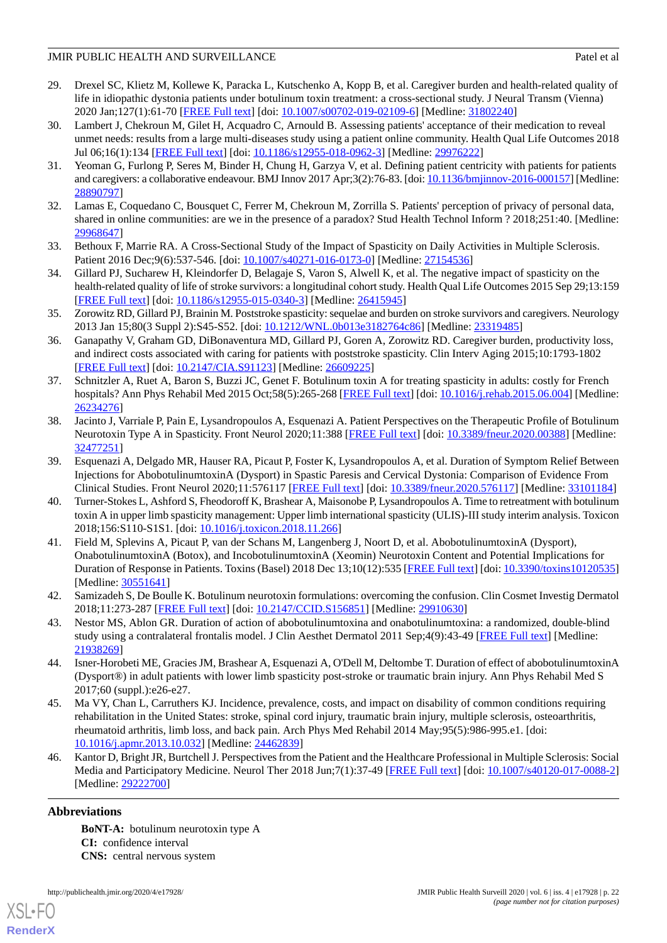- <span id="page-21-0"></span>29. Drexel SC, Klietz M, Kollewe K, Paracka L, Kutschenko A, Kopp B, et al. Caregiver burden and health-related quality of life in idiopathic dystonia patients under botulinum toxin treatment: a cross-sectional study. J Neural Transm (Vienna) 2020 Jan;127(1):61-70 [[FREE Full text](http://europepmc.org/abstract/MED/31802240)] [doi: [10.1007/s00702-019-02109-6](http://dx.doi.org/10.1007/s00702-019-02109-6)] [Medline: [31802240](http://www.ncbi.nlm.nih.gov/entrez/query.fcgi?cmd=Retrieve&db=PubMed&list_uids=31802240&dopt=Abstract)]
- <span id="page-21-1"></span>30. Lambert J, Chekroun M, Gilet H, Acquadro C, Arnould B. Assessing patients' acceptance of their medication to reveal unmet needs: results from a large multi-diseases study using a patient online community. Health Qual Life Outcomes 2018 Jul 06;16(1):134 [[FREE Full text](https://hqlo.biomedcentral.com/articles/10.1186/s12955-018-0962-3)] [doi: [10.1186/s12955-018-0962-3](http://dx.doi.org/10.1186/s12955-018-0962-3)] [Medline: [29976222](http://www.ncbi.nlm.nih.gov/entrez/query.fcgi?cmd=Retrieve&db=PubMed&list_uids=29976222&dopt=Abstract)]
- <span id="page-21-2"></span>31. Yeoman G, Furlong P, Seres M, Binder H, Chung H, Garzya V, et al. Defining patient centricity with patients for patients and caregivers: a collaborative endeavour. BMJ Innov 2017 Apr;3(2):76-83. [doi: [10.1136/bmjinnov-2016-000157](http://dx.doi.org/10.1136/bmjinnov-2016-000157)] [Medline: [28890797](http://www.ncbi.nlm.nih.gov/entrez/query.fcgi?cmd=Retrieve&db=PubMed&list_uids=28890797&dopt=Abstract)]
- <span id="page-21-3"></span>32. Lamas E, Coquedano C, Bousquet C, Ferrer M, Chekroun M, Zorrilla S. Patients' perception of privacy of personal data, shared in online communities: are we in the presence of a paradox? Stud Health Technol Inform ? 2018;251:40. [Medline: [29968647](http://www.ncbi.nlm.nih.gov/entrez/query.fcgi?cmd=Retrieve&db=PubMed&list_uids=29968647&dopt=Abstract)]
- 33. Bethoux F, Marrie RA. A Cross-Sectional Study of the Impact of Spasticity on Daily Activities in Multiple Sclerosis. Patient 2016 Dec; 9(6): 537-546. [doi: [10.1007/s40271-016-0173-0](http://dx.doi.org/10.1007/s40271-016-0173-0)] [Medline: [27154536](http://www.ncbi.nlm.nih.gov/entrez/query.fcgi?cmd=Retrieve&db=PubMed&list_uids=27154536&dopt=Abstract)]
- <span id="page-21-4"></span>34. Gillard PJ, Sucharew H, Kleindorfer D, Belagaje S, Varon S, Alwell K, et al. The negative impact of spasticity on the health-related quality of life of stroke survivors: a longitudinal cohort study. Health Qual Life Outcomes 2015 Sep 29;13:159 [[FREE Full text](https://hqlo.biomedcentral.com/articles/10.1186/s12955-015-0340-3)] [doi: [10.1186/s12955-015-0340-3\]](http://dx.doi.org/10.1186/s12955-015-0340-3) [Medline: [26415945](http://www.ncbi.nlm.nih.gov/entrez/query.fcgi?cmd=Retrieve&db=PubMed&list_uids=26415945&dopt=Abstract)]
- <span id="page-21-5"></span>35. Zorowitz RD, Gillard PJ, Brainin M. Poststroke spasticity: sequelae and burden on stroke survivors and caregivers. Neurology 2013 Jan 15;80(3 Suppl 2):S45-S52. [doi: [10.1212/WNL.0b013e3182764c86\]](http://dx.doi.org/10.1212/WNL.0b013e3182764c86) [Medline: [23319485\]](http://www.ncbi.nlm.nih.gov/entrez/query.fcgi?cmd=Retrieve&db=PubMed&list_uids=23319485&dopt=Abstract)
- <span id="page-21-6"></span>36. Ganapathy V, Graham GD, DiBonaventura MD, Gillard PJ, Goren A, Zorowitz RD. Caregiver burden, productivity loss, and indirect costs associated with caring for patients with poststroke spasticity. Clin Interv Aging 2015;10:1793-1802 [[FREE Full text](https://dx.doi.org/10.2147/CIA.S91123)] [doi: [10.2147/CIA.S91123](http://dx.doi.org/10.2147/CIA.S91123)] [Medline: [26609225\]](http://www.ncbi.nlm.nih.gov/entrez/query.fcgi?cmd=Retrieve&db=PubMed&list_uids=26609225&dopt=Abstract)
- <span id="page-21-7"></span>37. Schnitzler A, Ruet A, Baron S, Buzzi JC, Genet F. Botulinum toxin A for treating spasticity in adults: costly for French hospitals? Ann Phys Rehabil Med 2015 Oct;58(5):265-268 [\[FREE Full text](https://linkinghub.elsevier.com/retrieve/pii/S1877-0657(15)00081-0)] [doi: [10.1016/j.rehab.2015.06.004\]](http://dx.doi.org/10.1016/j.rehab.2015.06.004) [Medline: [26234276](http://www.ncbi.nlm.nih.gov/entrez/query.fcgi?cmd=Retrieve&db=PubMed&list_uids=26234276&dopt=Abstract)]
- <span id="page-21-8"></span>38. Jacinto J, Varriale P, Pain E, Lysandropoulos A, Esquenazi A. Patient Perspectives on the Therapeutic Profile of Botulinum Neurotoxin Type A in Spasticity. Front Neurol 2020;11:388 [[FREE Full text\]](https://doi.org/10.3389/fneur.2020.00388) [doi: [10.3389/fneur.2020.00388\]](http://dx.doi.org/10.3389/fneur.2020.00388) [Medline: [32477251](http://www.ncbi.nlm.nih.gov/entrez/query.fcgi?cmd=Retrieve&db=PubMed&list_uids=32477251&dopt=Abstract)]
- <span id="page-21-9"></span>39. Esquenazi A, Delgado MR, Hauser RA, Picaut P, Foster K, Lysandropoulos A, et al. Duration of Symptom Relief Between Injections for AbobotulinumtoxinA (Dysport) in Spastic Paresis and Cervical Dystonia: Comparison of Evidence From Clinical Studies. Front Neurol 2020;11:576117 [[FREE Full text](https://doi.org/10.3389/fneur.2020.576117)] [doi: [10.3389/fneur.2020.576117](http://dx.doi.org/10.3389/fneur.2020.576117)] [Medline: [33101184](http://www.ncbi.nlm.nih.gov/entrez/query.fcgi?cmd=Retrieve&db=PubMed&list_uids=33101184&dopt=Abstract)]
- <span id="page-21-10"></span>40. Turner-Stokes L, Ashford S, Fheodoroff K, Brashear A, Maisonobe P, Lysandropoulos A. Time to retreatment with botulinum toxin A in upper limb spasticity management: Upper limb international spasticity (ULIS)-III study interim analysis. Toxicon 2018;156:S110-S1S1. [doi: [10.1016/j.toxicon.2018.11.266\]](http://dx.doi.org/10.1016/j.toxicon.2018.11.266)
- <span id="page-21-12"></span><span id="page-21-11"></span>41. Field M, Splevins A, Picaut P, van der Schans M, Langenberg J, Noort D, et al. AbobotulinumtoxinA (Dysport), OnabotulinumtoxinA (Botox), and IncobotulinumtoxinA (Xeomin) Neurotoxin Content and Potential Implications for Duration of Response in Patients. Toxins (Basel) 2018 Dec 13;10(12):535 [[FREE Full text](https://www.mdpi.com/resolver?pii=toxins10120535)] [doi: [10.3390/toxins10120535](http://dx.doi.org/10.3390/toxins10120535)] [Medline: [30551641](http://www.ncbi.nlm.nih.gov/entrez/query.fcgi?cmd=Retrieve&db=PubMed&list_uids=30551641&dopt=Abstract)]
- <span id="page-21-13"></span>42. Samizadeh S, De Boulle K. Botulinum neurotoxin formulations: overcoming the confusion. Clin Cosmet Investig Dermatol 2018;11:273-287 [\[FREE Full text\]](https://dx.doi.org/10.2147/CCID.S156851) [doi: [10.2147/CCID.S156851](http://dx.doi.org/10.2147/CCID.S156851)] [Medline: [29910630\]](http://www.ncbi.nlm.nih.gov/entrez/query.fcgi?cmd=Retrieve&db=PubMed&list_uids=29910630&dopt=Abstract)
- <span id="page-21-14"></span>43. Nestor MS, Ablon GR. Duration of action of abobotulinumtoxina and onabotulinumtoxina: a randomized, double-blind study using a contralateral frontalis model. J Clin Aesthet Dermatol 2011 Sep;4(9):43-49 [\[FREE Full text\]](http://europepmc.org/abstract/MED/21938269) [Medline: [21938269](http://www.ncbi.nlm.nih.gov/entrez/query.fcgi?cmd=Retrieve&db=PubMed&list_uids=21938269&dopt=Abstract)]
- <span id="page-21-15"></span>44. Isner-Horobeti ME, Gracies JM, Brashear A, Esquenazi A, O'Dell M, Deltombe T. Duration of effect of abobotulinumtoxinA (Dysport®) in adult patients with lower limb spasticity post-stroke or traumatic brain injury. Ann Phys Rehabil Med S 2017;60 (suppl.):e26-e27.
- 45. Ma VY, Chan L, Carruthers KJ. Incidence, prevalence, costs, and impact on disability of common conditions requiring rehabilitation in the United States: stroke, spinal cord injury, traumatic brain injury, multiple sclerosis, osteoarthritis, rheumatoid arthritis, limb loss, and back pain. Arch Phys Med Rehabil 2014 May;95(5):986-995.e1. [doi: [10.1016/j.apmr.2013.10.032\]](http://dx.doi.org/10.1016/j.apmr.2013.10.032) [Medline: [24462839](http://www.ncbi.nlm.nih.gov/entrez/query.fcgi?cmd=Retrieve&db=PubMed&list_uids=24462839&dopt=Abstract)]
- 46. Kantor D, Bright JR, Burtchell J. Perspectives from the Patient and the Healthcare Professional in Multiple Sclerosis: Social Media and Participatory Medicine. Neurol Ther 2018 Jun;7(1):37-49 [[FREE Full text](http://europepmc.org/abstract/MED/29222700)] [doi: [10.1007/s40120-017-0088-2](http://dx.doi.org/10.1007/s40120-017-0088-2)] [Medline: [29222700](http://www.ncbi.nlm.nih.gov/entrez/query.fcgi?cmd=Retrieve&db=PubMed&list_uids=29222700&dopt=Abstract)]

## **Abbreviations**

[XSL](http://www.w3.org/Style/XSL)•FO **[RenderX](http://www.renderx.com/)**

**BoNT-A:** botulinum neurotoxin type A **CI:** confidence interval **CNS:** central nervous system